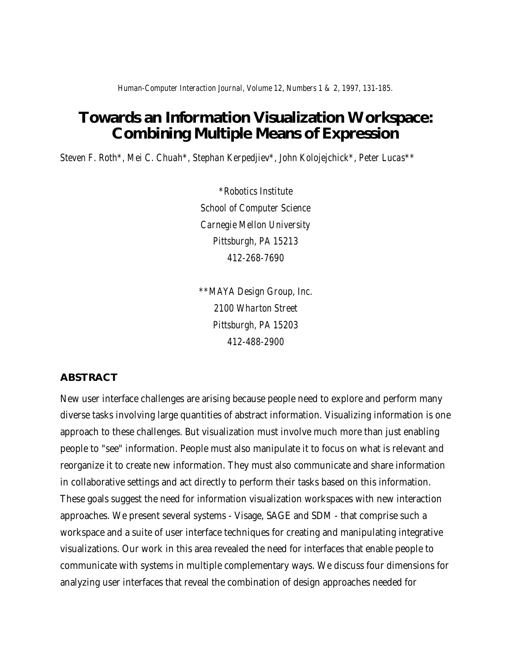*Human-Computer Interaction Journal, Volume 12, Numbers 1 & 2, 1997, 131-185.*

# **Towards an Information Visualization Workspace: Combining Multiple Means of Expression**

*Steven F. Roth\*, Mei C. Chuah\*, Stephan Kerpedjiev\*, John Kolojejchick\*, Peter Lucas\*\**

*\*Robotics Institute School of Computer Science Carnegie Mellon University Pittsburgh, PA 15213 412-268-7690*

*\*\*MAYA Design Group, Inc. 2100 Wharton Street Pittsburgh, PA 15203 412-488-2900*

### **ABSTRACT**

New user interface challenges are arising because people need to explore and perform many diverse tasks involving large quantities of abstract information. Visualizing information is one approach to these challenges. But visualization must involve much more than just enabling people to "see" information. People must also manipulate it to focus on what is relevant and reorganize it to create new information. They must also communicate and share information in collaborative settings and act directly to perform their tasks based on this information. These goals suggest the need for information visualization workspaces with new interaction approaches. We present several systems - Visage, SAGE and SDM - that comprise such a workspace and a suite of user interface techniques for creating and manipulating integrative visualizations. Our work in this area revealed the need for interfaces that enable people to communicate with systems in multiple complementary ways. We discuss four dimensions for analyzing user interfaces that reveal the combination of design approaches needed for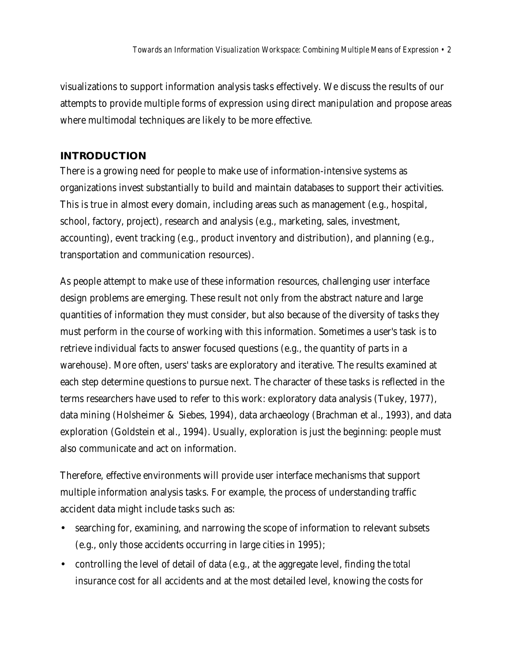visualizations to support information analysis tasks effectively. We discuss the results of our attempts to provide multiple forms of expression using direct manipulation and propose areas where multimodal techniques are likely to be more effective.

# **INTRODUCTION**

There is a growing need for people to make use of information-intensive systems as organizations invest substantially to build and maintain databases to support their activities. This is true in almost every domain, including areas such as management (e.g., hospital, school, factory, project), research and analysis (e.g., marketing, sales, investment, accounting), event tracking (e.g., product inventory and distribution), and planning (e.g., transportation and communication resources).

As people attempt to make use of these information resources, challenging user interface design problems are emerging. These result not only from the abstract nature and large quantities of information they must consider, but also because of the diversity of tasks they must perform in the course of working with this information. Sometimes a user's task is to retrieve individual facts to answer focused questions (e.g., the quantity of parts in a warehouse). More often, users' tasks are exploratory and iterative. The results examined at each step determine questions to pursue next. The character of these tasks is reflected in the terms researchers have used to refer to this work: exploratory data analysis (Tukey, 1977), data mining (Holsheimer & Siebes, 1994), data archaeology (Brachman et al., 1993), and data exploration (Goldstein et al., 1994). Usually, exploration is just the beginning: people must also communicate and act on information.

Therefore, effective environments will provide user interface mechanisms that support multiple information analysis tasks. For example, the process of understanding traffic accident data might include tasks such as:

- searching for, examining, and narrowing the scope of information to relevant subsets (e.g., only those accidents occurring in large cities in 1995);
- controlling the level of detail of data (e.g., at the aggregate level, finding the *total* insurance cost for all accidents and at the most detailed level, knowing the costs for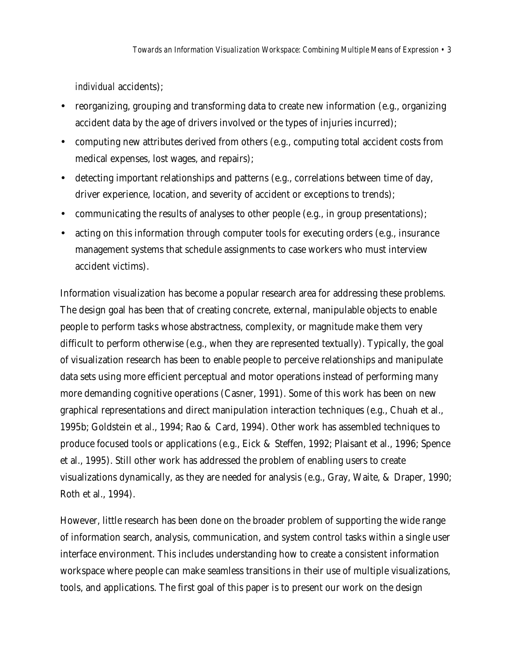*individual* accidents);

- reorganizing, grouping and transforming data to create new information (e.g., organizing accident data by the age of drivers involved or the types of injuries incurred);
- computing new attributes derived from others (e.g., computing total accident costs from medical expenses, lost wages, and repairs);
- detecting important relationships and patterns (e.g., correlations between time of day, driver experience, location, and severity of accident or exceptions to trends);
- communicating the results of analyses to other people (e.g., in group presentations);
- acting on this information through computer tools for executing orders (e.g., insurance management systems that schedule assignments to case workers who must interview accident victims).

Information visualization has become a popular research area for addressing these problems. The design goal has been that of creating concrete, external, manipulable objects to enable people to perform tasks whose abstractness, complexity, or magnitude make them very difficult to perform otherwise (e.g., when they are represented textually). Typically, the goal of visualization research has been to enable people to perceive relationships and manipulate data sets using more efficient perceptual and motor operations instead of performing many more demanding cognitive operations (Casner, 1991). Some of this work has been on new graphical representations and direct manipulation interaction techniques (e.g., Chuah et al., 1995b; Goldstein et al., 1994; Rao & Card, 1994). Other work has assembled techniques to produce focused tools or applications (e.g., Eick & Steffen, 1992; Plaisant et al., 1996; Spence et al., 1995). Still other work has addressed the problem of enabling users to create visualizations dynamically, as they are needed for analysis (e.g., Gray, Waite, & Draper, 1990; Roth et al., 1994).

However, little research has been done on the broader problem of supporting the wide range of information search, analysis, communication, and system control tasks within a single user interface environment. This includes understanding how to create a consistent information workspace where people can make seamless transitions in their use of multiple visualizations, tools, and applications. The first goal of this paper is to present our work on the design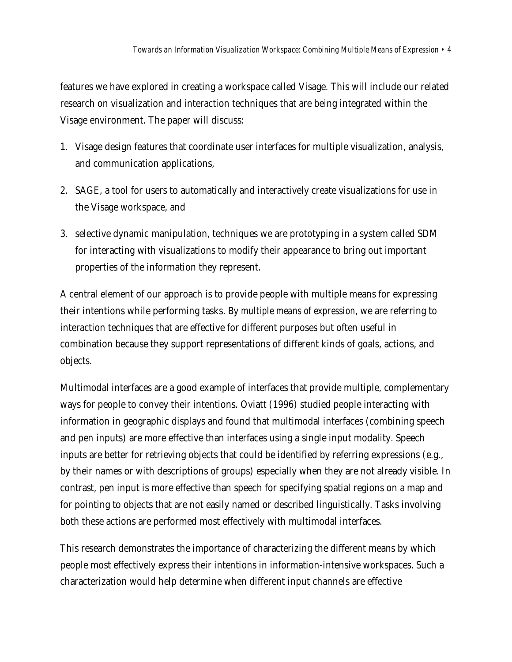features we have explored in creating a workspace called Visage. This will include our related research on visualization and interaction techniques that are being integrated within the Visage environment. The paper will discuss:

- 1. Visage design features that coordinate user interfaces for multiple visualization, analysis, and communication applications,
- 2. SAGE, a tool for users to automatically and interactively create visualizations for use in the Visage workspace, and
- 3. selective dynamic manipulation, techniques we are prototyping in a system called SDM for interacting with visualizations to modify their appearance to bring out important properties of the information they represent.

A central element of our approach is to provide people with multiple means for expressing their intentions while performing tasks. By *multiple means of expression*, we are referring to interaction techniques that are effective for different purposes but often useful in combination because they support representations of different kinds of goals, actions, and objects.

Multimodal interfaces are a good example of interfaces that provide multiple, complementary ways for people to convey their intentions. Oviatt (1996) studied people interacting with information in geographic displays and found that multimodal interfaces (combining speech and pen inputs) are more effective than interfaces using a single input modality. Speech inputs are better for retrieving objects that could be identified by referring expressions (e.g., by their names or with descriptions of groups) especially when they are not already visible. In contrast, pen input is more effective than speech for specifying spatial regions on a map and for pointing to objects that are not easily named or described linguistically. Tasks involving both these actions are performed most effectively with multimodal interfaces.

This research demonstrates the importance of characterizing the different means by which people most effectively express their intentions in information-intensive workspaces. Such a characterization would help determine when different input channels are effective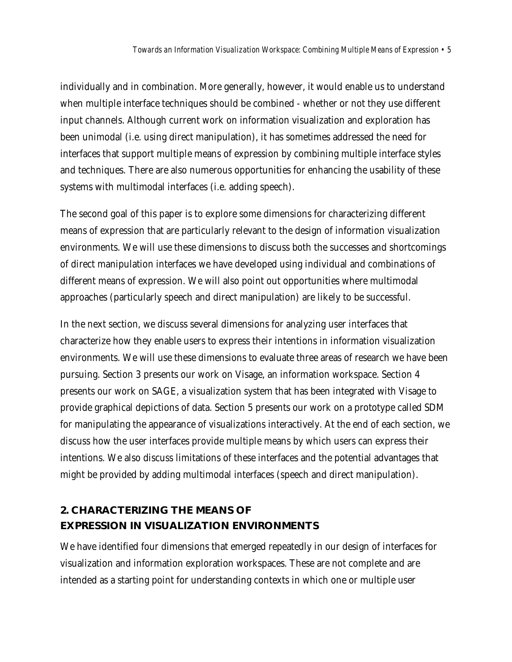individually and in combination. More generally, however, it would enable us to understand when multiple interface techniques should be combined - whether or not they use different input channels. Although current work on information visualization and exploration has been unimodal (i.e. using direct manipulation), it has sometimes addressed the need for interfaces that support multiple means of expression by combining multiple interface styles and techniques. There are also numerous opportunities for enhancing the usability of these systems with multimodal interfaces (i.e. adding speech).

The second goal of this paper is to explore some dimensions for characterizing different means of expression that are particularly relevant to the design of information visualization environments. We will use these dimensions to discuss both the successes and shortcomings of direct manipulation interfaces we have developed using individual and combinations of different means of expression. We will also point out opportunities where multimodal approaches (particularly speech and direct manipulation) are likely to be successful.

In the next section, we discuss several dimensions for analyzing user interfaces that characterize how they enable users to express their intentions in information visualization environments. We will use these dimensions to evaluate three areas of research we have been pursuing. Section 3 presents our work on Visage, an information workspace. Section 4 presents our work on SAGE, a visualization system that has been integrated with Visage to provide graphical depictions of data. Section 5 presents our work on a prototype called SDM for manipulating the appearance of visualizations interactively. At the end of each section, we discuss how the user interfaces provide multiple means by which users can express their intentions. We also discuss limitations of these interfaces and the potential advantages that might be provided by adding multimodal interfaces (speech and direct manipulation).

# **2. CHARACTERIZING THE MEANS OF EXPRESSION IN VISUALIZATION ENVIRONMENTS**

We have identified four dimensions that emerged repeatedly in our design of interfaces for visualization and information exploration workspaces. These are not complete and are intended as a starting point for understanding contexts in which one or multiple user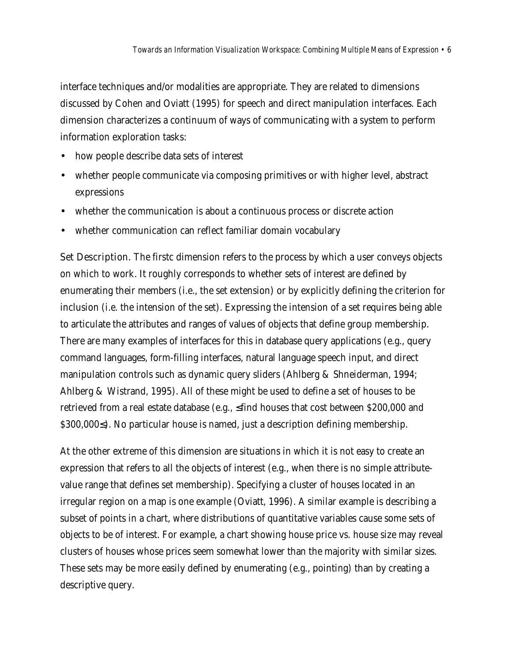interface techniques and/or modalities are appropriate. They are related to dimensions discussed by Cohen and Oviatt (1995) for speech and direct manipulation interfaces. Each dimension characterizes a continuum of ways of communicating with a system to perform information exploration tasks:

- how people describe data sets of interest
- whether people communicate via composing primitives or with higher level, abstract expressions
- whether the communication is about a continuous process or discrete action
- whether communication can reflect familiar domain vocabulary

Set Description. The firstc dimension refers to the process by which a user conveys objects on which to work. It roughly corresponds to whether sets of interest are defined by enumerating their members (i.e., the set extension) or by explicitly defining the criterion for inclusion (i.e. the intension of the set). Expressing the intension of a set requires being able to articulate the attributes and ranges of values of objects that define group membership. There are many examples of interfaces for this in database query applications (e.g., query command languages, form-filling interfaces, natural language speech input, and direct manipulation controls such as dynamic query sliders (Ahlberg & Shneiderman, 1994; Ahlberg & Wistrand, 1995). All of these might be used to define a set of houses to be retrieved from a real estate database (e.g., ≤find houses that cost between \$200,000 and \$300,000≤). No particular house is named, just a description defining membership.

At the other extreme of this dimension are situations in which it is not easy to create an expression that refers to all the objects of interest (e.g., when there is no simple attributevalue range that defines set membership). Specifying a cluster of houses located in an irregular region on a map is one example (Oviatt, 1996). A similar example is describing a subset of points in a chart, where distributions of quantitative variables cause some sets of objects to be of interest. For example, a chart showing house price vs. house size may reveal clusters of houses whose prices seem somewhat lower than the majority with similar sizes. These sets may be more easily defined by enumerating (e.g., pointing) than by creating a descriptive query.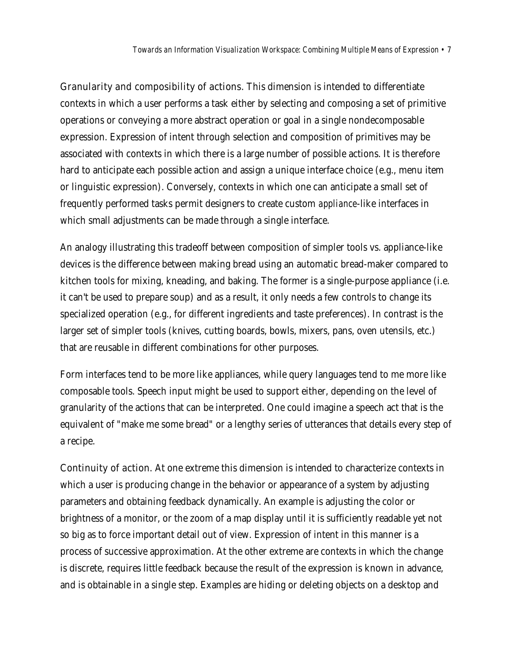Granularity and composibility of actions. This dimension is intended to differentiate contexts in which a user performs a task either by selecting and composing a set of primitive operations or conveying a more abstract operation or goal in a single nondecomposable expression. Expression of intent through selection and composition of primitives may be associated with contexts in which there is a large number of possible actions. It is therefore hard to anticipate each possible action and assign a unique interface choice (e.g., menu item or linguistic expression). Conversely, contexts in which one can anticipate a small set of frequently performed tasks permit designers to create custom *appliance*-like interfaces in which small adjustments can be made through a single interface.

An analogy illustrating this tradeoff between composition of simpler tools vs. appliance-like devices is the difference between making bread using an automatic bread-maker compared to kitchen tools for mixing, kneading, and baking. The former is a single-purpose appliance (i.e. it can't be used to prepare soup) and as a result, it only needs a few controls to change its specialized operation (e.g., for different ingredients and taste preferences). In contrast is the larger set of simpler tools (knives, cutting boards, bowls, mixers, pans, oven utensils, etc.) that are reusable in different combinations for other purposes.

Form interfaces tend to be more like appliances, while query languages tend to me more like composable tools. Speech input might be used to support either, depending on the level of granularity of the actions that can be interpreted. One could imagine a speech act that is the equivalent of "make me some bread" or a lengthy series of utterances that details every step of a recipe.

**Continuity of action.** At one extreme this dimension is intended to characterize contexts in which a user is producing change in the behavior or appearance of a system by adjusting parameters and obtaining feedback dynamically. An example is adjusting the color or brightness of a monitor, or the zoom of a map display until it is sufficiently readable yet not so big as to force important detail out of view. Expression of intent in this manner is a process of successive approximation. At the other extreme are contexts in which the change is discrete, requires little feedback because the result of the expression is known in advance, and is obtainable in a single step. Examples are hiding or deleting objects on a desktop and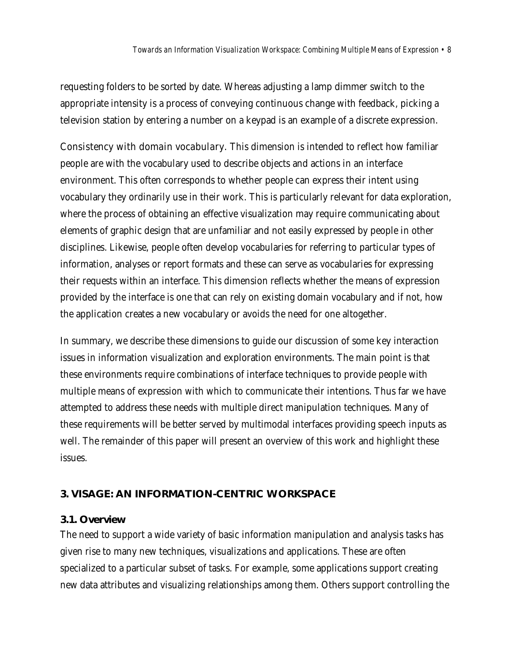requesting folders to be sorted by date. Whereas adjusting a lamp dimmer switch to the appropriate intensity is a process of conveying continuous change with feedback, picking a television station by entering a number on a keypad is an example of a discrete expression.

Consistency with domain vocabulary. This dimension is intended to reflect how familiar people are with the vocabulary used to describe objects and actions in an interface environment. This often corresponds to whether people can express their intent using vocabulary they ordinarily use in their work. This is particularly relevant for data exploration, where the process of obtaining an effective visualization may require communicating about elements of graphic design that are unfamiliar and not easily expressed by people in other disciplines. Likewise, people often develop vocabularies for referring to particular types of information, analyses or report formats and these can serve as vocabularies for expressing their requests within an interface. This dimension reflects whether the means of expression provided by the interface is one that can rely on existing domain vocabulary and if not, how the application creates a new vocabulary or avoids the need for one altogether.

In summary, we describe these dimensions to guide our discussion of some key interaction issues in information visualization and exploration environments. The main point is that these environments require combinations of interface techniques to provide people with multiple means of expression with which to communicate their intentions. Thus far we have attempted to address these needs with multiple direct manipulation techniques. Many of these requirements will be better served by multimodal interfaces providing speech inputs as well. The remainder of this paper will present an overview of this work and highlight these issues.

### **3. VISAGE: AN INFORMATION-CENTRIC WORKSPACE**

### **3.1. Overview**

The need to support a wide variety of basic information manipulation and analysis tasks has given rise to many new techniques, visualizations and applications. These are often specialized to a particular subset of tasks. For example, some applications support creating new data attributes and visualizing relationships among them. Others support controlling the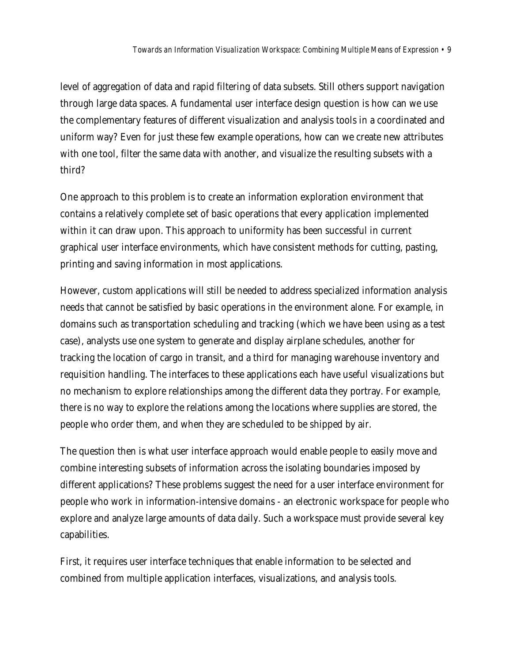level of aggregation of data and rapid filtering of data subsets. Still others support navigation through large data spaces. A fundamental user interface design question is how can we use the complementary features of different visualization and analysis tools in a coordinated and uniform way? Even for just these few example operations, how can we create new attributes with one tool, filter the same data with another, and visualize the resulting subsets with a third?

One approach to this problem is to create an information exploration environment that contains a relatively complete set of basic operations that every application implemented within it can draw upon. This approach to uniformity has been successful in current graphical user interface environments, which have consistent methods for cutting, pasting, printing and saving information in most applications.

However, custom applications will still be needed to address specialized information analysis needs that cannot be satisfied by basic operations in the environment alone. For example, in domains such as transportation scheduling and tracking (which we have been using as a test case), analysts use one system to generate and display airplane schedules, another for tracking the location of cargo in transit, and a third for managing warehouse inventory and requisition handling. The interfaces to these applications each have useful visualizations but no mechanism to explore relationships among the different data they portray. For example, there is no way to explore the relations among the locations where supplies are stored, the people who order them, and when they are scheduled to be shipped by air.

The question then is what user interface approach would enable people to easily move and combine interesting subsets of information across the isolating boundaries imposed by different applications? These problems suggest the need for a user interface environment for people who work in information-intensive domains - an electronic workspace for people who explore and analyze large amounts of data daily. Such a workspace must provide several key capabilities.

First, it requires user interface techniques that enable information to be selected and combined from multiple application interfaces, visualizations, and analysis tools.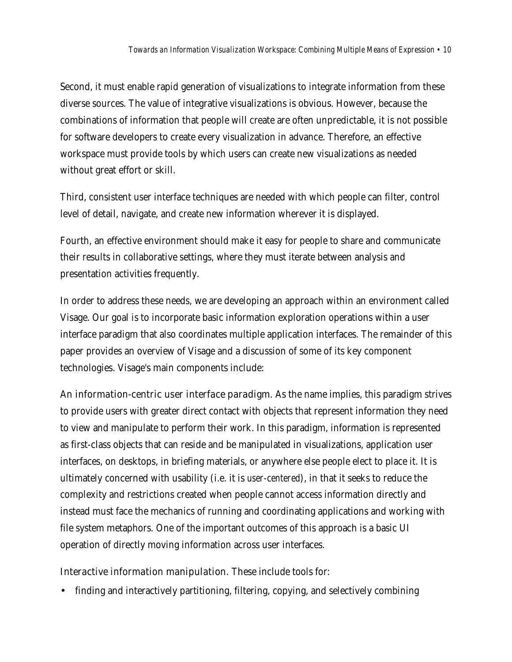# Second, it must enable rapid generation of visualizations to integrate information from these diverse sources. The value of integrative visualizations is obvious. However, because the combinations of information that people will create are often unpredictable, it is not possible for software developers to create every visualization in advance. Therefore, an effective workspace must provide tools by which users can create new visualizations as needed without great effort or skill.

Third, consistent user interface techniques are needed with which people can filter, control level of detail, navigate, and create new information wherever it is displayed.

Fourth, an effective environment should make it easy for people to share and communicate their results in collaborative settings, where they must iterate between analysis and presentation activities frequently.

In order to address these needs, we are developing an approach within an environment called Visage. Our goal is to incorporate basic information exploration operations within a user interface paradigm that also coordinates multiple application interfaces. The remainder of this paper provides an overview of Visage and a discussion of some of its key component technologies. Visage's main components include:

An information-centric user interface paradigm. As the name implies, this paradigm strives to provide users with greater direct contact with objects that represent information they need to view and manipulate to perform their work. In this paradigm, information is represented as first-class objects that can reside and be manipulated in visualizations, application user interfaces, on desktops, in briefing materials, or anywhere else people elect to place it. It is ultimately concerned with usability (i.e. it is *user-centered*), in that it seeks to reduce the complexity and restrictions created when people cannot access information directly and instead must face the mechanics of running and coordinating applications and working with file system metaphors. One of the important outcomes of this approach is a basic UI operation of directly moving information across user interfaces.

# Interactive information manipulation. These include tools for:

• finding and interactively partitioning, filtering, copying, and selectively combining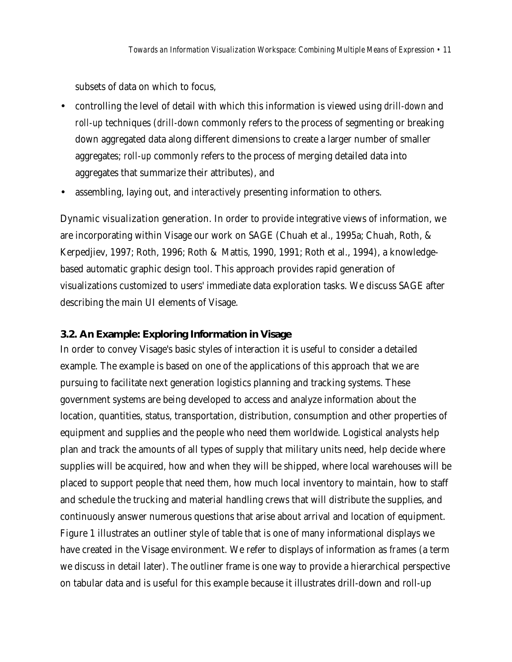subsets of data on which to focus,

- controlling the level of detail with which this information is viewed using *drill-down* and *roll-up* techniques (*drill-down* commonly refers to the process of segmenting or breaking down aggregated data along different dimensions to create a larger number of smaller aggregates; *roll-up* commonly refers to the process of merging detailed data into aggregates that summarize their attributes), and
- assembling, laying out, and *interactively* presenting information to others.

Dynamic visualization generation. In order to provide integrative views of information, we are incorporating within Visage our work on SAGE (Chuah et al., 1995a; Chuah, Roth, & Kerpedjiev, 1997; Roth, 1996; Roth & Mattis, 1990, 1991; Roth et al., 1994), a knowledgebased automatic graphic design tool. This approach provides rapid generation of visualizations customized to users' immediate data exploration tasks. We discuss SAGE after describing the main UI elements of Visage.

## **3.2. An Example: Exploring Information in Visage**

In order to convey Visage's basic styles of interaction it is useful to consider a detailed example. The example is based on one of the applications of this approach that we are pursuing to facilitate next generation logistics planning and tracking systems. These government systems are being developed to access and analyze information about the location, quantities, status, transportation, distribution, consumption and other properties of equipment and supplies and the people who need them worldwide. Logistical analysts help plan and track the amounts of all types of supply that military units need, help decide where supplies will be acquired, how and when they will be shipped, where local warehouses will be placed to support people that need them, how much local inventory to maintain, how to staff and schedule the trucking and material handling crews that will distribute the supplies, and continuously answer numerous questions that arise about arrival and location of equipment. Figure 1 illustrates an outliner style of table that is one of many informational displays we have created in the Visage environment. We refer to displays of information as *frames* (a term we discuss in detail later). The outliner frame is one way to provide a hierarchical perspective on tabular data and is useful for this example because it illustrates drill-down and roll-up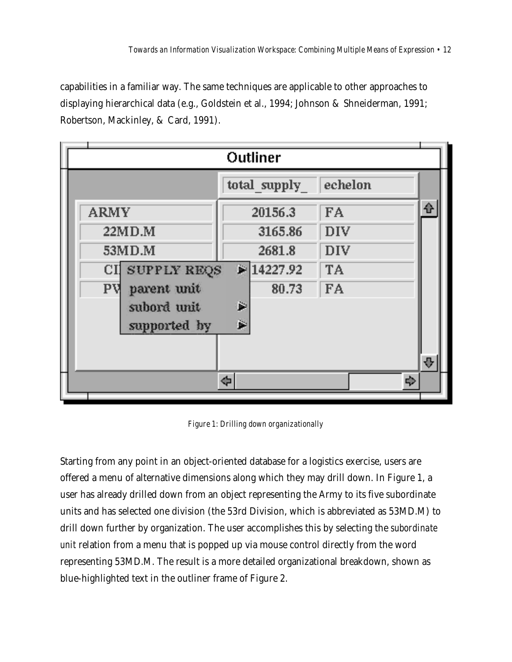capabilities in a familiar way. The same techniques are applicable to other approaches to displaying hierarchical data (e.g., Goldstein et al., 1994; Johnson & Shneiderman, 1991; Robertson, Mackinley, & Card, 1991).

| Outliner          |              |            |   |
|-------------------|--------------|------------|---|
|                   | total supply | echelon    |   |
| <b>ARMY</b>       | 20156.3      | FA         | 企 |
| 22MD.M            | 3165.86      | <b>DIV</b> |   |
| 53MD.M            | 2681.8       | <b>DIV</b> |   |
| CI SUPPLY REQS    | ▶ 14227.92   | TA         |   |
| PV<br>parent unit | 80.73        | FA         |   |
| subord unit       | 鄞            |            |   |
| supported by      | je.          |            |   |
|                   |              |            |   |
|                   |              |            | ⊕ |
|                   | $\bigoplus$  | 中          |   |

*Figure 1: Drilling down organizationally*

Starting from any point in an object-oriented database for a logistics exercise, users are offered a menu of alternative dimensions along which they may drill down. In Figure 1, a user has already drilled down from an object representing the Army to its five subordinate units and has selected one division (the 53rd Division, which is abbreviated as 53MD.M) to drill down further by organization. The user accomplishes this by selecting the *subordinate unit* relation from a menu that is popped up via mouse control directly from the word representing 53MD.M. The result is a more detailed organizational breakdown, shown as blue-highlighted text in the outliner frame of Figure 2.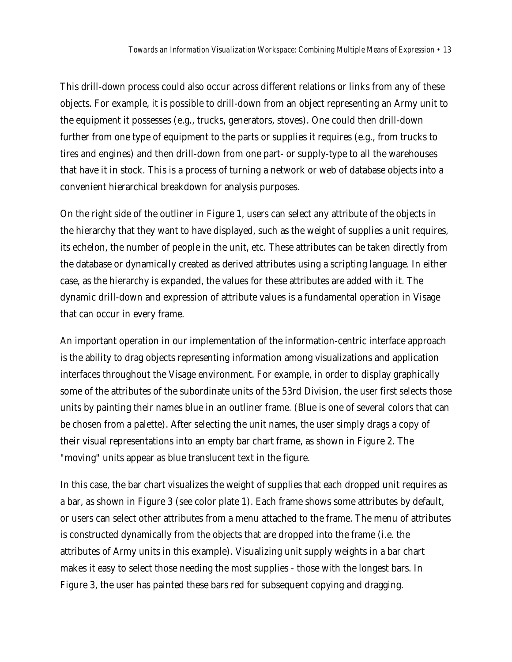This drill-down process could also occur across different relations or links from any of these objects. For example, it is possible to drill-down from an object representing an Army unit to the equipment it possesses (e.g., trucks, generators, stoves). One could then drill-down further from one type of equipment to the parts or supplies it requires (e.g., from trucks to tires and engines) and then drill-down from one part- or supply-type to all the warehouses that have it in stock. This is a process of turning a network or web of database objects into a convenient hierarchical breakdown for analysis purposes.

On the right side of the outliner in Figure 1, users can select any attribute of the objects in the hierarchy that they want to have displayed, such as the weight of supplies a unit requires, its echelon, the number of people in the unit, etc. These attributes can be taken directly from the database or dynamically created as derived attributes using a scripting language. In either case, as the hierarchy is expanded, the values for these attributes are added with it. The dynamic drill-down and expression of attribute values is a fundamental operation in Visage that can occur in every frame.

An important operation in our implementation of the information-centric interface approach is the ability to drag objects representing information among visualizations and application interfaces throughout the Visage environment. For example, in order to display graphically some of the attributes of the subordinate units of the 53rd Division, the user first selects those units by painting their names blue in an outliner frame. (Blue is one of several colors that can be chosen from a palette). After selecting the unit names, the user simply drags a copy of their visual representations into an empty bar chart frame, as shown in Figure 2. The "moving" units appear as blue translucent text in the figure.

In this case, the bar chart visualizes the weight of supplies that each dropped unit requires as a bar, as shown in Figure 3 (see color plate 1). Each frame shows some attributes by default, or users can select other attributes from a menu attached to the frame. The menu of attributes is constructed dynamically from the objects that are dropped into the frame (i.e. the attributes of Army units in this example). Visualizing unit supply weights in a bar chart makes it easy to select those needing the most supplies - those with the longest bars. In Figure 3, the user has painted these bars red for subsequent copying and dragging.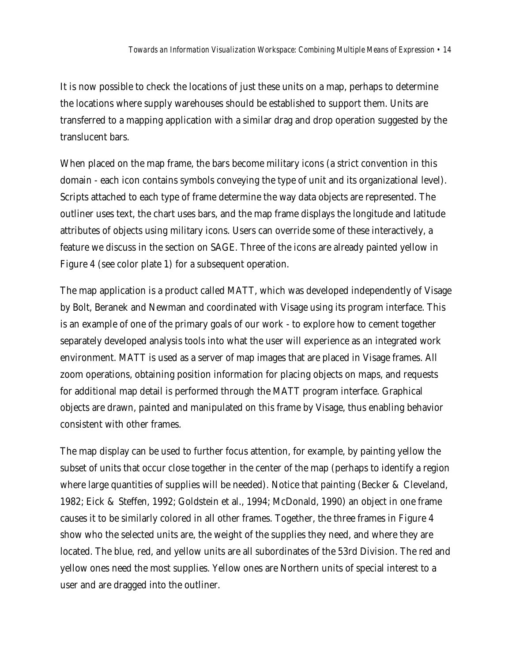It is now possible to check the locations of just these units on a map, perhaps to determine the locations where supply warehouses should be established to support them. Units are transferred to a mapping application with a similar drag and drop operation suggested by the translucent bars.

When placed on the map frame, the bars become military icons (a strict convention in this domain - each icon contains symbols conveying the type of unit and its organizational level). Scripts attached to each type of frame determine the way data objects are represented. The outliner uses text, the chart uses bars, and the map frame displays the longitude and latitude attributes of objects using military icons. Users can override some of these interactively, a feature we discuss in the section on SAGE. Three of the icons are already painted yellow in Figure 4 (see color plate 1) for a subsequent operation.

The map application is a product called MATT, which was developed independently of Visage by Bolt, Beranek and Newman and coordinated with Visage using its program interface. This is an example of one of the primary goals of our work - to explore how to cement together separately developed analysis tools into what the user will experience as an integrated work environment. MATT is used as a server of map images that are placed in Visage frames. All zoom operations, obtaining position information for placing objects on maps, and requests for additional map detail is performed through the MATT program interface. Graphical objects are drawn, painted and manipulated on this frame by Visage, thus enabling behavior consistent with other frames.

The map display can be used to further focus attention, for example, by painting yellow the subset of units that occur close together in the center of the map (perhaps to identify a region where large quantities of supplies will be needed). Notice that painting (Becker & Cleveland, 1982; Eick & Steffen, 1992; Goldstein et al., 1994; McDonald, 1990) an object in one frame causes it to be similarly colored in all other frames. Together, the three frames in Figure 4 show who the selected units are, the weight of the supplies they need, and where they are located. The blue, red, and yellow units are all subordinates of the 53rd Division. The red and yellow ones need the most supplies. Yellow ones are Northern units of special interest to a user and are dragged into the outliner.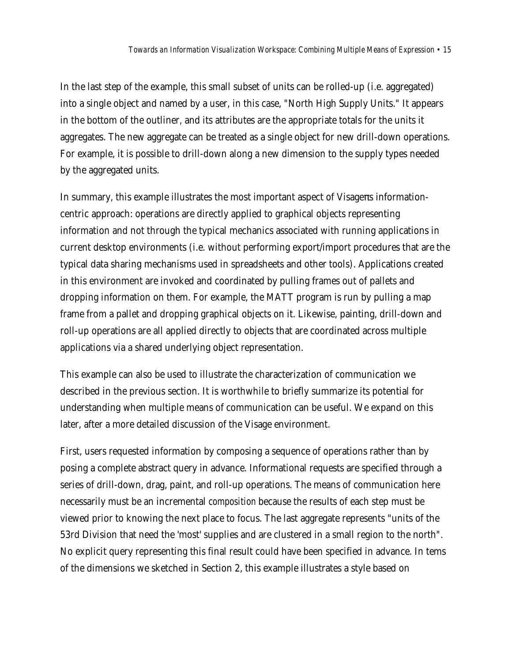In the last step of the example, this small subset of units can be rolled-up (i.e. aggregated) into a single object and named by a user, in this case, "North High Supply Units." It appears in the bottom of the outliner, and its attributes are the appropriate totals for the units it aggregates. The new aggregate can be treated as a single object for new drill-down operations. For example, it is possible to drill-down along a new dimension to the supply types needed by the aggregated units.

In summary, this example illustrates the most important aspect of Visageπs informationcentric approach: operations are directly applied to graphical objects representing information and not through the typical mechanics associated with running applications in current desktop environments (i.e. without performing export/import procedures that are the typical data sharing mechanisms used in spreadsheets and other tools). Applications created in this environment are invoked and coordinated by pulling frames out of pallets and dropping information on them. For example, the MATT program is run by pulling a map frame from a pallet and dropping graphical objects on it. Likewise, painting, drill-down and roll-up operations are all applied directly to objects that are coordinated across multiple applications via a shared underlying object representation.

This example can also be used to illustrate the characterization of communication we described in the previous section. It is worthwhile to briefly summarize its potential for understanding when multiple means of communication can be useful. We expand on this later, after a more detailed discussion of the Visage environment.

First, users requested information by composing a sequence of operations rather than by posing a complete abstract query in advance. Informational requests are specified through a series of drill-down, drag, paint, and roll-up operations. The means of communication here necessarily must be an incremental *composition* because the results of each step must be viewed prior to knowing the next place to focus. The last aggregate represents "units of the 53rd Division that need the 'most' supplies and are clustered in a small region to the north". No explicit query representing this final result could have been specified in advance. In tems of the dimensions we sketched in Section 2, this example illustrates a style based on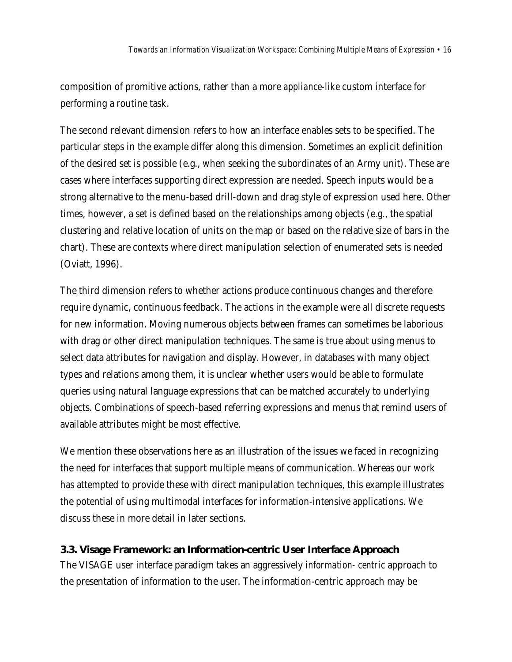composition of promitive actions, rather than a more *appliance-like* custom interface for performing a routine task.

The second relevant dimension refers to how an interface enables sets to be specified. The particular steps in the example differ along this dimension. Sometimes an explicit definition of the desired set is possible (e.g., when seeking the subordinates of an Army unit). These are cases where interfaces supporting direct expression are needed. Speech inputs would be a strong alternative to the menu-based drill-down and drag style of expression used here. Other times, however, a set is defined based on the relationships among objects (e.g., the spatial clustering and relative location of units on the map or based on the relative size of bars in the chart). These are contexts where direct manipulation selection of enumerated sets is needed (Oviatt, 1996).

The third dimension refers to whether actions produce continuous changes and therefore require dynamic, continuous feedback. The actions in the example were all discrete requests for new information. Moving numerous objects between frames can sometimes be laborious with drag or other direct manipulation techniques. The same is true about using menus to select data attributes for navigation and display. However, in databases with many object types and relations among them, it is unclear whether users would be able to formulate queries using natural language expressions that can be matched accurately to underlying objects. Combinations of speech-based referring expressions and menus that remind users of available attributes might be most effective.

We mention these observations here as an illustration of the issues we faced in recognizing the need for interfaces that support multiple means of communication. Whereas our work has attempted to provide these with direct manipulation techniques, this example illustrates the potential of using multimodal interfaces for information-intensive applications. We discuss these in more detail in later sections.

### **3.3. Visage Framework: an Information-centric User Interface Approach**

The VISAGE user interface paradigm takes an aggressively *information- centric* approach to the presentation of information to the user. The information-centric approach may be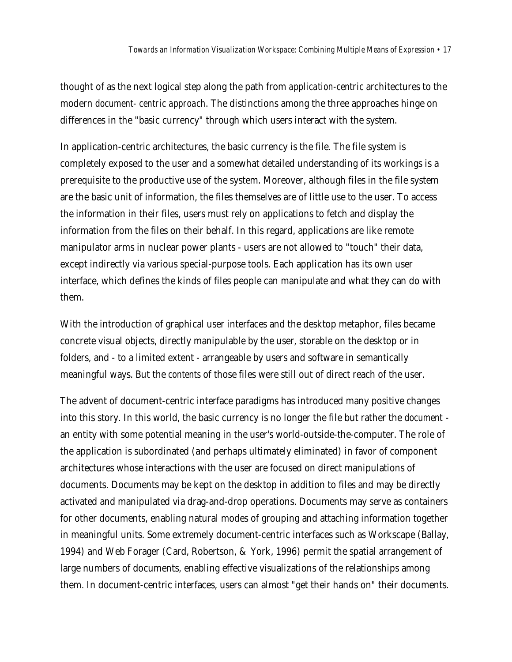thought of as the next logical step along the path from *application-centric* architectures to the modern *document- centric approach*. The distinctions among the three approaches hinge on differences in the "basic currency" through which users interact with the system.

In application-centric architectures, the basic currency is the file. The file system is completely exposed to the user and a somewhat detailed understanding of its workings is a prerequisite to the productive use of the system. Moreover, although files in the file system are the basic unit of information, the files themselves are of little use to the user. To access the information in their files, users must rely on applications to fetch and display the information from the files on their behalf. In this regard, applications are like remote manipulator arms in nuclear power plants - users are not allowed to "touch" their data, except indirectly via various special-purpose tools. Each application has its own user interface, which defines the kinds of files people can manipulate and what they can do with them.

With the introduction of graphical user interfaces and the desktop metaphor, files became concrete visual objects, directly manipulable by the user, storable on the desktop or in folders, and - to a limited extent - arrangeable by users and software in semantically meaningful ways. But the *contents* of those files were still out of direct reach of the user.

The advent of document-centric interface paradigms has introduced many positive changes into this story. In this world, the basic currency is no longer the file but rather the *document* an entity with some potential meaning in the user's world-outside-the-computer. The role of the application is subordinated (and perhaps ultimately eliminated) in favor of component architectures whose interactions with the user are focused on direct manipulations of documents. Documents may be kept on the desktop in addition to files and may be directly activated and manipulated via drag-and-drop operations. Documents may serve as containers for other documents, enabling natural modes of grouping and attaching information together in meaningful units. Some extremely document-centric interfaces such as Workscape (Ballay, 1994) and Web Forager (Card, Robertson, & York, 1996) permit the spatial arrangement of large numbers of documents, enabling effective visualizations of the relationships among them. In document-centric interfaces, users can almost "get their hands on" their documents.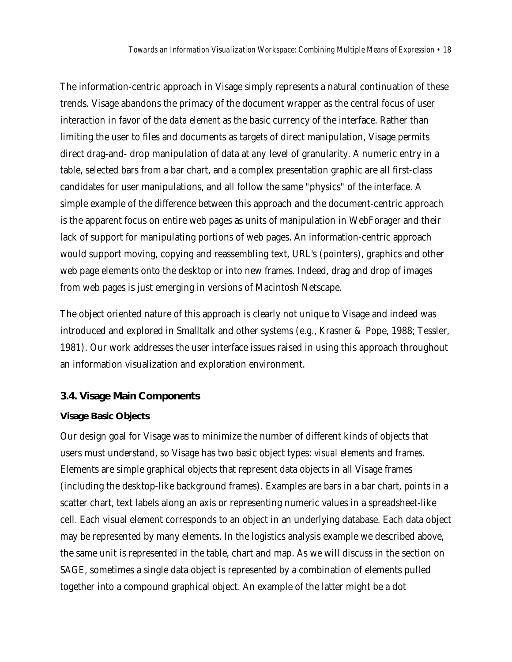The information-centric approach in Visage simply represents a natural continuation of these trends. Visage abandons the primacy of the document wrapper as the central focus of user interaction in favor of the *data element* as the basic currency of the interface. Rather than limiting the user to files and documents as targets of direct manipulation, Visage permits direct drag-and- drop manipulation of data at *any* level of granularity. A numeric entry in a table, selected bars from a bar chart, and a complex presentation graphic are all first-class candidates for user manipulations, and all follow the same "physics" of the interface. A simple example of the difference between this approach and the document-centric approach is the apparent focus on entire web pages as units of manipulation in WebForager and their lack of support for manipulating portions of web pages. An information-centric approach would support moving, copying and reassembling text, URL's (pointers), graphics and other web page elements onto the desktop or into new frames. Indeed, drag and drop of images from web pages is just emerging in versions of Macintosh Netscape.

The object oriented nature of this approach is clearly not unique to Visage and indeed was introduced and explored in Smalltalk and other systems (e.g., Krasner & Pope, 1988; Tessler, 1981). Our work addresses the user interface issues raised in using this approach throughout an information visualization and exploration environment.

## **3.4. Visage Main Components**

### **Visage Basic Objects**

Our design goal for Visage was to minimize the number of different kinds of objects that users must understand, so Visage has two basic object types: *visual elements* and *frames*. Elements are simple graphical objects that represent data objects in all Visage frames (including the desktop-like background frames). Examples are bars in a bar chart, points in a scatter chart, text labels along an axis or representing numeric values in a spreadsheet-like cell. Each visual element corresponds to an object in an underlying database. Each data object may be represented by many elements. In the logistics analysis example we described above, the same unit is represented in the table, chart and map. As we will discuss in the section on SAGE, sometimes a single data object is represented by a combination of elements pulled together into a compound graphical object. An example of the latter might be a dot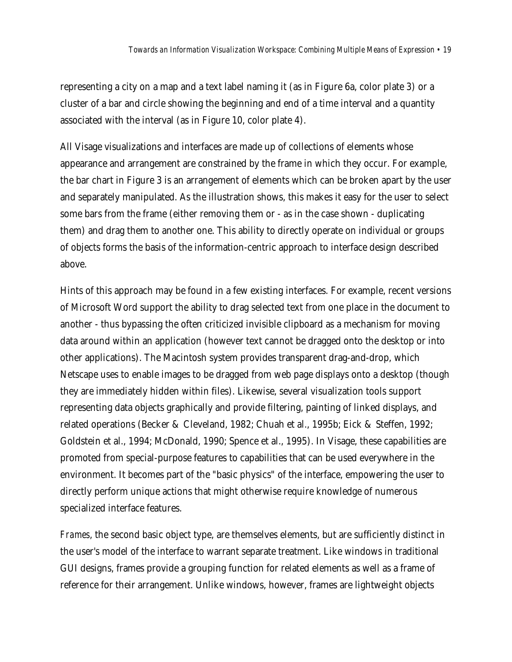representing a city on a map and a text label naming it (as in Figure 6a, color plate 3) or a cluster of a bar and circle showing the beginning and end of a time interval and a quantity associated with the interval (as in Figure 10, color plate 4).

All Visage visualizations and interfaces are made up of collections of elements whose appearance and arrangement are constrained by the frame in which they occur. For example, the bar chart in Figure 3 is an arrangement of elements which can be broken apart by the user and separately manipulated. As the illustration shows, this makes it easy for the user to select some bars from the frame (either removing them or - as in the case shown - duplicating them) and drag them to another one. This ability to directly operate on individual or groups of objects forms the basis of the information-centric approach to interface design described above.

Hints of this approach may be found in a few existing interfaces. For example, recent versions of Microsoft Word support the ability to drag selected text from one place in the document to another - thus bypassing the often criticized invisible clipboard as a mechanism for moving data around within an application (however text cannot be dragged onto the desktop or into other applications). The Macintosh system provides transparent drag-and-drop, which Netscape uses to enable images to be dragged from web page displays onto a desktop (though they are immediately hidden within files). Likewise, several visualization tools support representing data objects graphically and provide filtering, painting of linked displays, and related operations (Becker & Cleveland, 1982; Chuah et al., 1995b; Eick & Steffen, 1992; Goldstein et al., 1994; McDonald, 1990; Spence et al., 1995). In Visage, these capabilities are promoted from special-purpose features to capabilities that can be used everywhere in the environment. It becomes part of the "basic physics" of the interface, empowering the user to directly perform unique actions that might otherwise require knowledge of numerous specialized interface features.

*Frames*, the second basic object type, are themselves elements, but are sufficiently distinct in the user's model of the interface to warrant separate treatment. Like windows in traditional GUI designs, frames provide a grouping function for related elements as well as a frame of reference for their arrangement. Unlike windows, however, frames are lightweight objects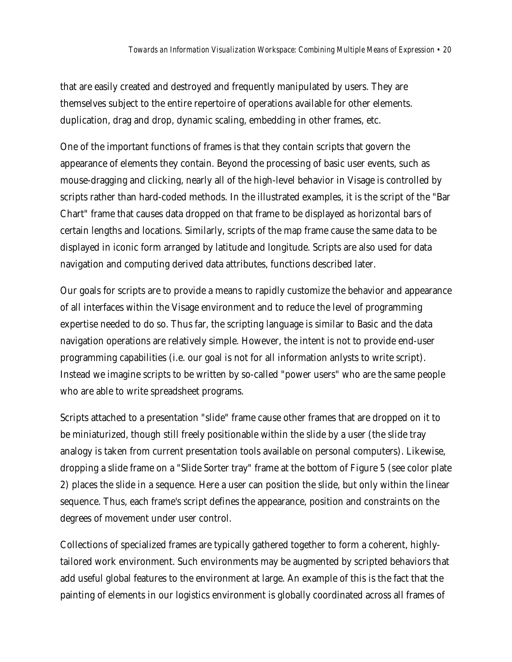that are easily created and destroyed and frequently manipulated by users. They are themselves subject to the entire repertoire of operations available for other elements. duplication, drag and drop, dynamic scaling, embedding in other frames, etc.

One of the important functions of frames is that they contain scripts that govern the appearance of elements they contain. Beyond the processing of basic user events, such as mouse-dragging and clicking, nearly all of the high-level behavior in Visage is controlled by scripts rather than hard-coded methods. In the illustrated examples, it is the script of the "Bar Chart" frame that causes data dropped on that frame to be displayed as horizontal bars of certain lengths and locations. Similarly, scripts of the map frame cause the same data to be displayed in iconic form arranged by latitude and longitude. Scripts are also used for data navigation and computing derived data attributes, functions described later.

Our goals for scripts are to provide a means to rapidly customize the behavior and appearance of all interfaces within the Visage environment and to reduce the level of programming expertise needed to do so. Thus far, the scripting language is similar to Basic and the data navigation operations are relatively simple. However, the intent is not to provide end-user programming capabilities (i.e. our goal is not for all information anlysts to write script). Instead we imagine scripts to be written by so-called "power users" who are the same people who are able to write spreadsheet programs.

Scripts attached to a presentation "slide" frame cause other frames that are dropped on it to be miniaturized, though still freely positionable within the slide by a user (the slide tray analogy is taken from current presentation tools available on personal computers). Likewise, dropping a slide frame on a "Slide Sorter tray" frame at the bottom of Figure 5 (see color plate 2) places the slide in a sequence. Here a user can position the slide, but only within the linear sequence. Thus, each frame's script defines the appearance, position and constraints on the degrees of movement under user control.

Collections of specialized frames are typically gathered together to form a coherent, highlytailored work environment. Such environments may be augmented by scripted behaviors that add useful global features to the environment at large. An example of this is the fact that the painting of elements in our logistics environment is globally coordinated across all frames of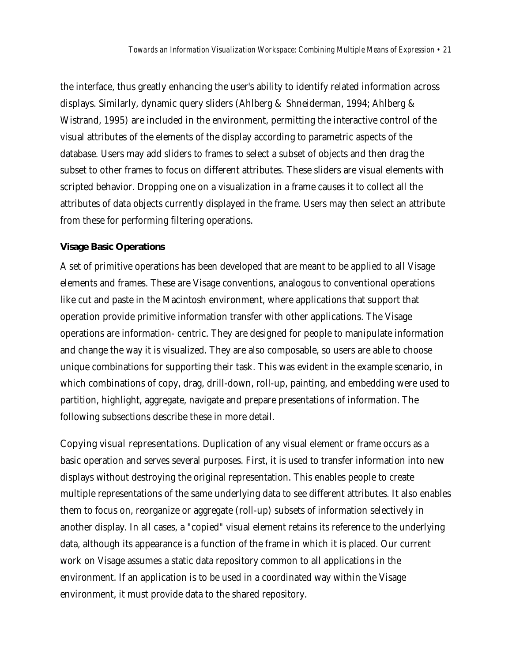the interface, thus greatly enhancing the user's ability to identify related information across displays. Similarly, dynamic query sliders (Ahlberg & Shneiderman, 1994; Ahlberg & Wistrand, 1995) are included in the environment, permitting the interactive control of the visual attributes of the elements of the display according to parametric aspects of the database. Users may add sliders to frames to select a subset of objects and then drag the subset to other frames to focus on different attributes. These sliders are visual elements with scripted behavior. Dropping one on a visualization in a frame causes it to collect all the attributes of data objects currently displayed in the frame. Users may then select an attribute from these for performing filtering operations.

#### **Visage Basic Operations**

A set of primitive operations has been developed that are meant to be applied to all Visage elements and frames. These are Visage conventions, analogous to conventional operations like cut and paste in the Macintosh environment, where applications that support that operation provide primitive information transfer with other applications. The Visage operations are information- centric. They are designed for people to manipulate information and change the way it is visualized. They are also composable, so users are able to choose unique combinations for supporting their task. This was evident in the example scenario, in which combinations of copy, drag, drill-down, roll-up, painting, and embedding were used to partition, highlight, aggregate, navigate and prepare presentations of information. The following subsections describe these in more detail.

Copying visual representations. Duplication of any visual element or frame occurs as a basic operation and serves several purposes. First, it is used to transfer information into new displays without destroying the original representation. This enables people to create multiple representations of the same underlying data to see different attributes. It also enables them to focus on, reorganize or aggregate (roll-up) subsets of information selectively in another display. In all cases, a "copied" visual element retains its reference to the underlying data, although its appearance is a function of the frame in which it is placed. Our current work on Visage assumes a static data repository common to all applications in the environment. If an application is to be used in a coordinated way within the Visage environment, it must provide data to the shared repository.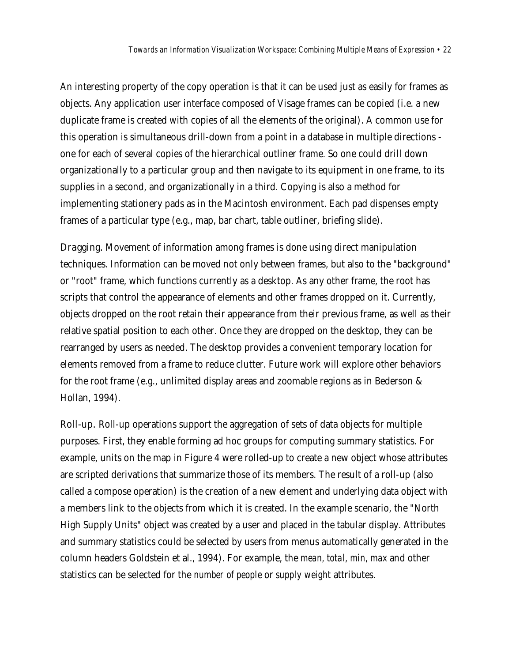An interesting property of the copy operation is that it can be used just as easily for frames as objects. Any application user interface composed of Visage frames can be copied (i.e. a new duplicate frame is created with copies of all the elements of the original). A common use for this operation is simultaneous drill-down from a point in a database in multiple directions one for each of several copies of the hierarchical outliner frame. So one could drill down organizationally to a particular group and then navigate to its equipment in one frame, to its supplies in a second, and organizationally in a third. Copying is also a method for implementing stationery pads as in the Macintosh environment. Each pad dispenses empty frames of a particular type (e.g., map, bar chart, table outliner, briefing slide).

**Dragging.** Movement of information among frames is done using direct manipulation techniques. Information can be moved not only between frames, but also to the "background" or "root" frame, which functions currently as a desktop. As any other frame, the root has scripts that control the appearance of elements and other frames dropped on it. Currently, objects dropped on the root retain their appearance from their previous frame, as well as their relative spatial position to each other. Once they are dropped on the desktop, they can be rearranged by users as needed. The desktop provides a convenient temporary location for elements removed from a frame to reduce clutter. Future work will explore other behaviors for the root frame (e.g., unlimited display areas and zoomable regions as in Bederson & Hollan, 1994).

Roll-up. Roll-up operations support the aggregation of sets of data objects for multiple purposes. First, they enable forming ad hoc groups for computing summary statistics. For example, units on the map in Figure 4 were rolled-up to create a new object whose attributes are scripted derivations that summarize those of its members. The result of a roll-up (also called a compose operation) is the creation of a new element and underlying data object with a members link to the objects from which it is created. In the example scenario, the "North High Supply Units" object was created by a user and placed in the tabular display. Attributes and summary statistics could be selected by users from menus automatically generated in the column headers Goldstein et al., 1994). For example, the *mean, total, min, max* and other statistics can be selected for the *number of people* or *supply weight* attributes.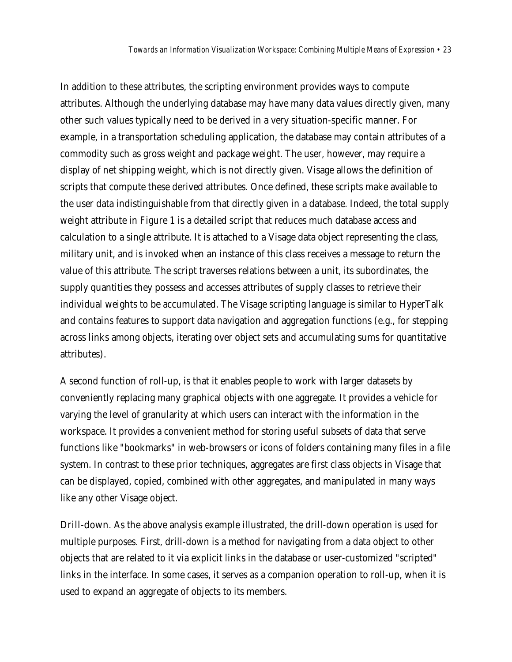In addition to these attributes, the scripting environment provides ways to compute attributes. Although the underlying database may have many data values directly given, many other such values typically need to be derived in a very situation-specific manner. For example, in a transportation scheduling application, the database may contain attributes of a commodity such as gross weight and package weight. The user, however, may require a display of net shipping weight, which is not directly given. Visage allows the definition of scripts that compute these derived attributes. Once defined, these scripts make available to the user data indistinguishable from that directly given in a database. Indeed, the total supply weight attribute in Figure 1 is a detailed script that reduces much database access and calculation to a single attribute. It is attached to a Visage data object representing the class, military unit, and is invoked when an instance of this class receives a message to return the value of this attribute. The script traverses relations between a unit, its subordinates, the supply quantities they possess and accesses attributes of supply classes to retrieve their individual weights to be accumulated. The Visage scripting language is similar to HyperTalk and contains features to support data navigation and aggregation functions (e.g., for stepping across links among objects, iterating over object sets and accumulating sums for quantitative attributes).

A second function of roll-up, is that it enables people to work with larger datasets by conveniently replacing many graphical objects with one aggregate. It provides a vehicle for varying the level of granularity at which users can interact with the information in the workspace. It provides a convenient method for storing useful subsets of data that serve functions like "bookmarks" in web-browsers or icons of folders containing many files in a file system. In contrast to these prior techniques, aggregates are first class objects in Visage that can be displayed, copied, combined with other aggregates, and manipulated in many ways like any other Visage object.

**Drill-down.** As the above analysis example illustrated, the drill-down operation is used for multiple purposes. First, drill-down is a method for navigating from a data object to other objects that are related to it via explicit links in the database or user-customized "scripted" links in the interface. In some cases, it serves as a companion operation to roll-up, when it is used to expand an aggregate of objects to its members.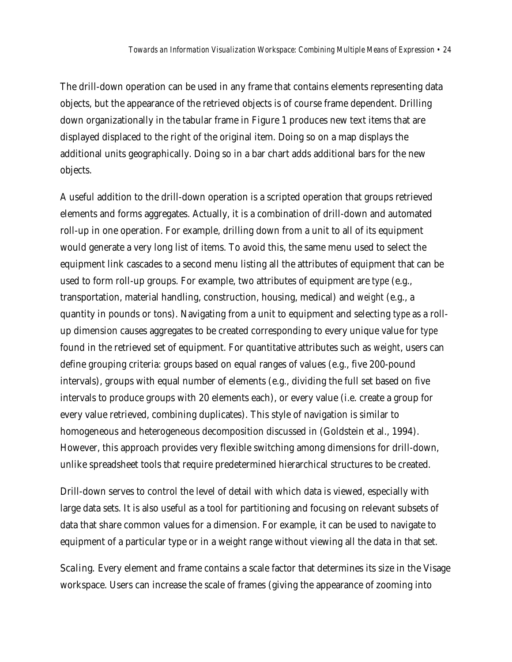The drill-down operation can be used in any frame that contains elements representing data objects, but the appearance of the retrieved objects is of course frame dependent. Drilling down organizationally in the tabular frame in Figure 1 produces new text items that are displayed displaced to the right of the original item. Doing so on a map displays the additional units geographically. Doing so in a bar chart adds additional bars for the new objects.

A useful addition to the drill-down operation is a scripted operation that groups retrieved elements and forms aggregates. Actually, it is a combination of drill-down and automated roll-up in one operation. For example, drilling down from a unit to all of its equipment would generate a very long list of items. To avoid this, the same menu used to select the equipment link cascades to a second menu listing all the attributes of equipment that can be used to form roll-up groups. For example, two attributes of equipment are *type* (e.g., transportation, material handling, construction, housing, medical) and *weight* (e.g., a quantity in pounds or tons). Navigating from a unit to equipment and selecting *type* as a rollup dimension causes aggregates to be created corresponding to every unique value for *type* found in the retrieved set of equipment. For quantitative attributes such as *weight*, users can define grouping criteria: groups based on equal ranges of values (e.g., five 200-pound intervals), groups with equal number of elements (e.g., dividing the full set based on five intervals to produce groups with 20 elements each), or every value (i.e. create a group for every value retrieved, combining duplicates). This style of navigation is similar to homogeneous and heterogeneous decomposition discussed in (Goldstein et al., 1994). However, this approach provides very flexible switching among dimensions for drill-down, unlike spreadsheet tools that require predetermined hierarchical structures to be created.

Drill-down serves to control the level of detail with which data is viewed, especially with large data sets. It is also useful as a tool for partitioning and focusing on relevant subsets of data that share common values for a dimension. For example, it can be used to navigate to equipment of a particular type or in a weight range without viewing all the data in that set.

**Scaling.** Every element and frame contains a scale factor that determines its size in the Visage workspace. Users can increase the scale of frames (giving the appearance of zooming into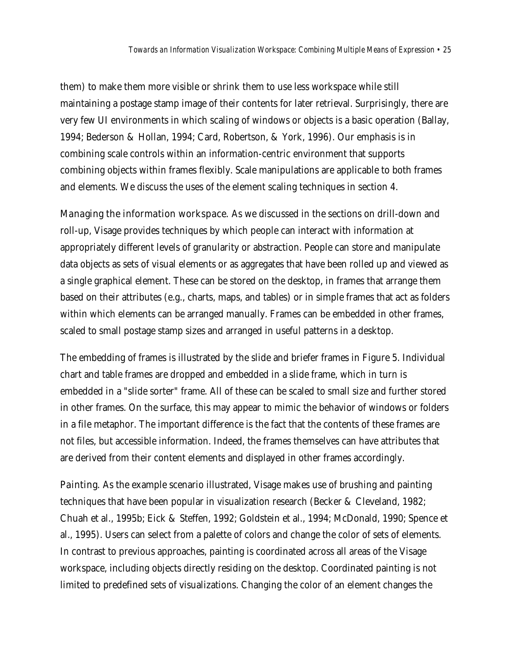them) to make them more visible or shrink them to use less workspace while still maintaining a postage stamp image of their contents for later retrieval. Surprisingly, there are very few UI environments in which scaling of windows or objects is a basic operation (Ballay, 1994; Bederson & Hollan, 1994; Card, Robertson, & York, 1996). Our emphasis is in combining scale controls within an information-centric environment that supports combining objects within frames flexibly. Scale manipulations are applicable to both frames and elements. We discuss the uses of the element scaling techniques in section 4.

**Managing the information workspace.** As we discussed in the sections on drill-down and roll-up, Visage provides techniques by which people can interact with information at appropriately different levels of granularity or abstraction. People can store and manipulate data objects as sets of visual elements or as aggregates that have been rolled up and viewed as a single graphical element. These can be stored on the desktop, in frames that arrange them based on their attributes (e.g., charts, maps, and tables) or in simple frames that act as folders within which elements can be arranged manually. Frames can be embedded in other frames, scaled to small postage stamp sizes and arranged in useful patterns in a desktop.

The embedding of frames is illustrated by the slide and briefer frames in Figure 5. Individual chart and table frames are dropped and embedded in a slide frame, which in turn is embedded in a "slide sorter" frame. All of these can be scaled to small size and further stored in other frames. On the surface, this may appear to mimic the behavior of windows or folders in a file metaphor. The important difference is the fact that the contents of these frames are not files, but accessible information. Indeed, the frames themselves can have attributes that are derived from their content elements and displayed in other frames accordingly.

**Painting.** As the example scenario illustrated, Visage makes use of brushing and painting techniques that have been popular in visualization research (Becker & Cleveland, 1982; Chuah et al., 1995b; Eick & Steffen, 1992; Goldstein et al., 1994; McDonald, 1990; Spence et al., 1995). Users can select from a palette of colors and change the color of sets of elements. In contrast to previous approaches, painting is coordinated across all areas of the Visage workspace, including objects directly residing on the desktop. Coordinated painting is not limited to predefined sets of visualizations. Changing the color of an element changes the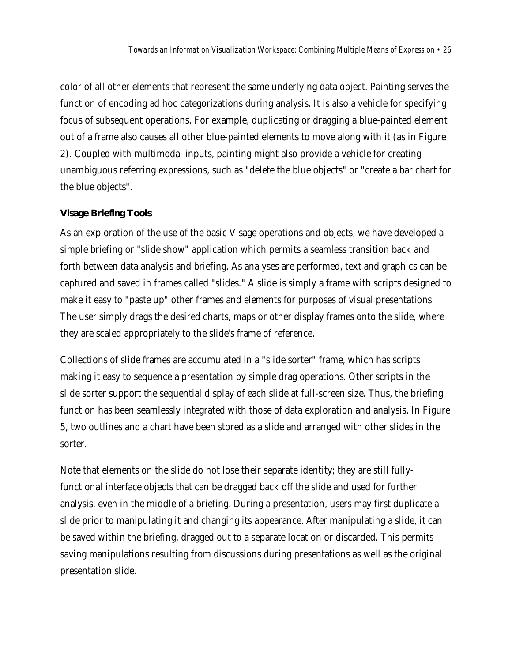color of all other elements that represent the same underlying data object. Painting serves the function of encoding ad hoc categorizations during analysis. It is also a vehicle for specifying focus of subsequent operations. For example, duplicating or dragging a blue-painted element out of a frame also causes all other blue-painted elements to move along with it (as in Figure 2). Coupled with multimodal inputs, painting might also provide a vehicle for creating unambiguous referring expressions, such as "delete the blue objects" or "create a bar chart for the blue objects".

## **Visage Briefing Tools**

As an exploration of the use of the basic Visage operations and objects, we have developed a simple briefing or "slide show" application which permits a seamless transition back and forth between data analysis and briefing. As analyses are performed, text and graphics can be captured and saved in frames called "slides." A slide is simply a frame with scripts designed to make it easy to "paste up" other frames and elements for purposes of visual presentations. The user simply drags the desired charts, maps or other display frames onto the slide, where they are scaled appropriately to the slide's frame of reference.

Collections of slide frames are accumulated in a "slide sorter" frame, which has scripts making it easy to sequence a presentation by simple drag operations. Other scripts in the slide sorter support the sequential display of each slide at full-screen size. Thus, the briefing function has been seamlessly integrated with those of data exploration and analysis. In Figure 5, two outlines and a chart have been stored as a slide and arranged with other slides in the sorter.

Note that elements on the slide do not lose their separate identity; they are still fullyfunctional interface objects that can be dragged back off the slide and used for further analysis, even in the middle of a briefing. During a presentation, users may first duplicate a slide prior to manipulating it and changing its appearance. After manipulating a slide, it can be saved within the briefing, dragged out to a separate location or discarded. This permits saving manipulations resulting from discussions during presentations as well as the original presentation slide.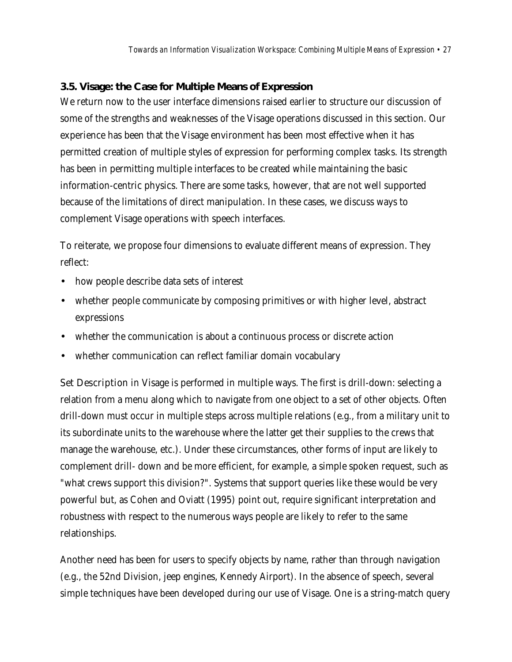# **3.5. Visage: the Case for Multiple Means of Expression**

We return now to the user interface dimensions raised earlier to structure our discussion of some of the strengths and weaknesses of the Visage operations discussed in this section. Our experience has been that the Visage environment has been most effective when it has permitted creation of multiple styles of expression for performing complex tasks. Its strength has been in permitting multiple interfaces to be created while maintaining the basic information-centric physics. There are some tasks, however, that are not well supported because of the limitations of direct manipulation. In these cases, we discuss ways to complement Visage operations with speech interfaces.

To reiterate, we propose four dimensions to evaluate different means of expression. They reflect:

- how people describe data sets of interest
- whether people communicate by composing primitives or with higher level, abstract expressions
- whether the communication is about a continuous process or discrete action
- whether communication can reflect familiar domain vocabulary

Set Description in Visage is performed in multiple ways. The first is drill-down: selecting a relation from a menu along which to navigate from one object to a set of other objects. Often drill-down must occur in multiple steps across multiple relations (e.g., from a military unit to its subordinate units to the warehouse where the latter get their supplies to the crews that manage the warehouse, etc.). Under these circumstances, other forms of input are likely to complement drill- down and be more efficient, for example, a simple spoken request, such as "what crews support this division?". Systems that support queries like these would be very powerful but, as Cohen and Oviatt (1995) point out, require significant interpretation and robustness with respect to the numerous ways people are likely to refer to the same relationships.

Another need has been for users to specify objects by name, rather than through navigation (e.g., the 52nd Division, jeep engines, Kennedy Airport). In the absence of speech, several simple techniques have been developed during our use of Visage. One is a string-match query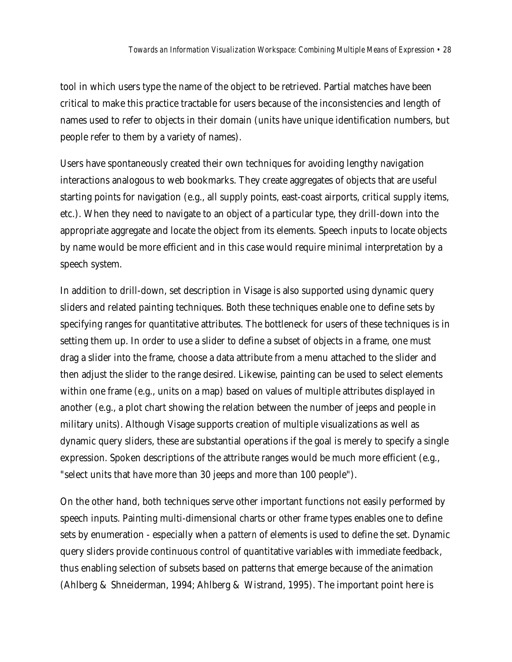tool in which users type the name of the object to be retrieved. Partial matches have been critical to make this practice tractable for users because of the inconsistencies and length of names used to refer to objects in their domain (units have unique identification numbers, but people refer to them by a variety of names).

Users have spontaneously created their own techniques for avoiding lengthy navigation interactions analogous to web bookmarks. They create aggregates of objects that are useful starting points for navigation (e.g., all supply points, east-coast airports, critical supply items, etc.). When they need to navigate to an object of a particular type, they drill-down into the appropriate aggregate and locate the object from its elements. Speech inputs to locate objects by name would be more efficient and in this case would require minimal interpretation by a speech system.

In addition to drill-down, set description in Visage is also supported using dynamic query sliders and related painting techniques. Both these techniques enable one to define sets by specifying ranges for quantitative attributes. The bottleneck for users of these techniques is in setting them up. In order to use a slider to define a subset of objects in a frame, one must drag a slider into the frame, choose a data attribute from a menu attached to the slider and then adjust the slider to the range desired. Likewise, painting can be used to select elements within one frame (e.g., units on a map) based on values of multiple attributes displayed in another (e.g., a plot chart showing the relation between the number of jeeps and people in military units). Although Visage supports creation of multiple visualizations as well as dynamic query sliders, these are substantial operations if the goal is merely to specify a single expression. Spoken descriptions of the attribute ranges would be much more efficient (e.g., "select units that have more than 30 jeeps and more than 100 people").

On the other hand, both techniques serve other important functions not easily performed by speech inputs. Painting multi-dimensional charts or other frame types enables one to define sets by enumeration - especially when a *pattern* of elements is used to define the set. Dynamic query sliders provide continuous control of quantitative variables with immediate feedback, thus enabling selection of subsets based on patterns that emerge because of the animation (Ahlberg & Shneiderman, 1994; Ahlberg & Wistrand, 1995). The important point here is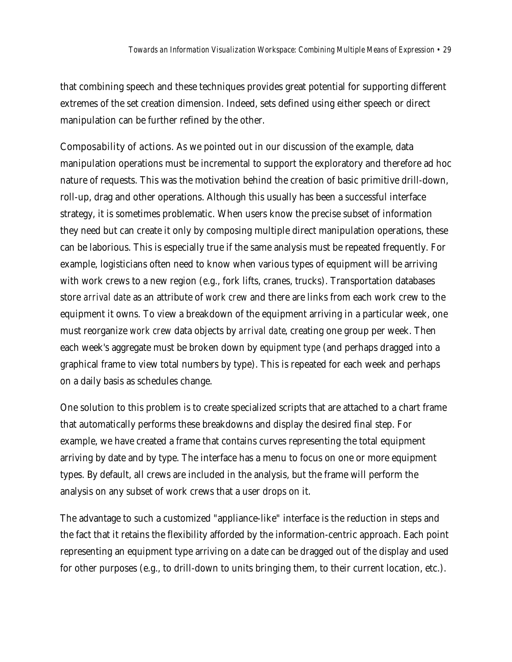that combining speech and these techniques provides great potential for supporting different extremes of the set creation dimension. Indeed, sets defined using either speech or direct manipulation can be further refined by the other.

Composability of actions. As we pointed out in our discussion of the example, data manipulation operations must be incremental to support the exploratory and therefore ad hoc nature of requests. This was the motivation behind the creation of basic primitive drill-down, roll-up, drag and other operations. Although this usually has been a successful interface strategy, it is sometimes problematic. When users know the precise subset of information they need but can create it only by composing multiple direct manipulation operations, these can be laborious. This is especially true if the same analysis must be repeated frequently. For example, logisticians often need to know when various types of equipment will be arriving with work crews to a new region (e.g., fork lifts, cranes, trucks). Transportation databases store *arrival date* as an attribute of *work crew* and there are links from each work crew to the equipment it owns. To view a breakdown of the equipment arriving in a particular week, one must reorganize *work crew* data objects by *arrival date*, creating one group per week. Then each week's aggregate must be broken down by *equipment type* (and perhaps dragged into a graphical frame to view total numbers by type). This is repeated for each week and perhaps on a daily basis as schedules change.

One solution to this problem is to create specialized scripts that are attached to a chart frame that automatically performs these breakdowns and display the desired final step. For example, we have created a frame that contains curves representing the total equipment arriving by date and by type. The interface has a menu to focus on one or more equipment types. By default, all crews are included in the analysis, but the frame will perform the analysis on any subset of work crews that a user drops on it.

The advantage to such a customized "appliance-like" interface is the reduction in steps and the fact that it retains the flexibility afforded by the information-centric approach. Each point representing an equipment type arriving on a date can be dragged out of the display and used for other purposes (e.g., to drill-down to units bringing them, to their current location, etc.).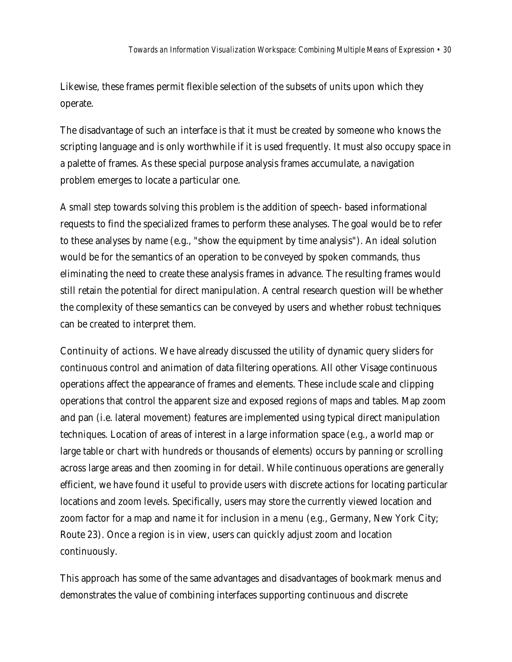Likewise, these frames permit flexible selection of the subsets of units upon which they operate.

The disadvantage of such an interface is that it must be created by someone who knows the scripting language and is only worthwhile if it is used frequently. It must also occupy space in a palette of frames. As these special purpose analysis frames accumulate, a navigation problem emerges to locate a particular one.

A small step towards solving this problem is the addition of speech- based informational requests to find the specialized frames to perform these analyses. The goal would be to refer to these analyses by name (e.g., "show the equipment by time analysis"). An ideal solution would be for the semantics of an operation to be conveyed by spoken commands, thus eliminating the need to create these analysis frames in advance. The resulting frames would still retain the potential for direct manipulation. A central research question will be whether the complexity of these semantics can be conveyed by users and whether robust techniques can be created to interpret them.

**Continuity of actions.** We have already discussed the utility of dynamic query sliders for continuous control and animation of data filtering operations. All other Visage continuous operations affect the appearance of frames and elements. These include scale and clipping operations that control the apparent size and exposed regions of maps and tables. Map zoom and pan (i.e. lateral movement) features are implemented using typical direct manipulation techniques. Location of areas of interest in a large information space (e.g., a world map or large table or chart with hundreds or thousands of elements) occurs by panning or scrolling across large areas and then zooming in for detail. While continuous operations are generally efficient, we have found it useful to provide users with discrete actions for locating particular locations and zoom levels. Specifically, users may store the currently viewed location and zoom factor for a map and name it for inclusion in a menu (e.g., Germany, New York City; Route 23). Once a region is in view, users can quickly adjust zoom and location continuously.

This approach has some of the same advantages and disadvantages of bookmark menus and demonstrates the value of combining interfaces supporting continuous and discrete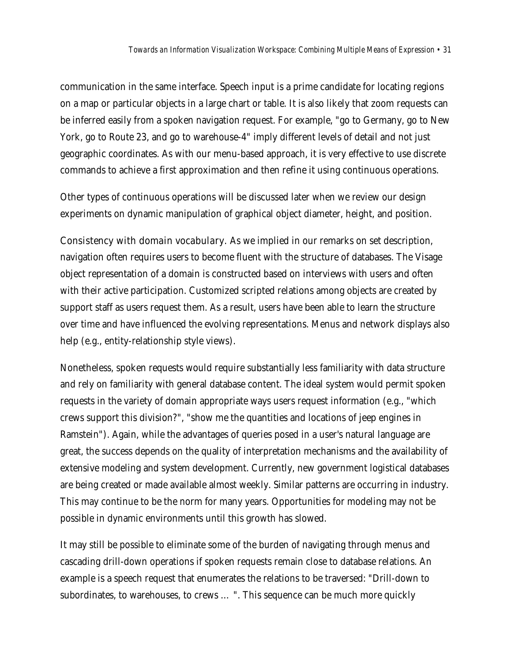# communication in the same interface. Speech input is a prime candidate for locating regions on a map or particular objects in a large chart or table. It is also likely that zoom requests can be inferred easily from a spoken navigation request. For example, "go to Germany, go to New York, go to Route 23, and go to warehouse-4" imply different levels of detail and not just geographic coordinates. As with our menu-based approach, it is very effective to use discrete commands to achieve a first approximation and then refine it using continuous operations.

Other types of continuous operations will be discussed later when we review our design experiments on dynamic manipulation of graphical object diameter, height, and position.

Consistency with domain vocabulary. As we implied in our remarks on set description, navigation often requires users to become fluent with the structure of databases. The Visage object representation of a domain is constructed based on interviews with users and often with their active participation. Customized scripted relations among objects are created by support staff as users request them. As a result, users have been able to learn the structure over time and have influenced the evolving representations. Menus and network displays also help (e.g., entity-relationship style views).

Nonetheless, spoken requests would require substantially less familiarity with data structure and rely on familiarity with general database content. The ideal system would permit spoken requests in the variety of domain appropriate ways users request information (e.g., "which crews support this division?", "show me the quantities and locations of jeep engines in Ramstein"). Again, while the advantages of queries posed in a user's natural language are great, the success depends on the quality of interpretation mechanisms and the availability of extensive modeling and system development. Currently, new government logistical databases are being created or made available almost weekly. Similar patterns are occurring in industry. This may continue to be the norm for many years. Opportunities for modeling may not be possible in dynamic environments until this growth has slowed.

It may still be possible to eliminate some of the burden of navigating through menus and cascading drill-down operations if spoken requests remain close to database relations. An example is a speech request that enumerates the relations to be traversed: "Drill-down to subordinates, to warehouses, to crews … ". This sequence can be much more quickly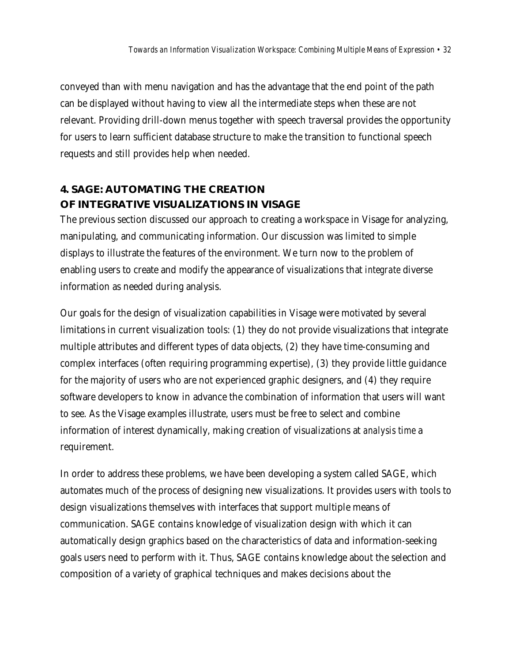conveyed than with menu navigation and has the advantage that the end point of the path can be displayed without having to view all the intermediate steps when these are not relevant. Providing drill-down menus together with speech traversal provides the opportunity for users to learn sufficient database structure to make the transition to functional speech requests and still provides help when needed.

# **4. SAGE: AUTOMATING THE CREATION OF INTEGRATIVE VISUALIZATIONS IN VISAGE**

The previous section discussed our approach to creating a workspace in Visage for analyzing, manipulating, and communicating information. Our discussion was limited to simple displays to illustrate the features of the environment. We turn now to the problem of enabling users to create and modify the appearance of visualizations that *integrate* diverse information as needed during analysis.

Our goals for the design of visualization capabilities in Visage were motivated by several limitations in current visualization tools: (1) they do not provide visualizations that integrate multiple attributes and different types of data objects, (2) they have time-consuming and complex interfaces (often requiring programming expertise), (3) they provide little guidance for the majority of users who are not experienced graphic designers, and (4) they require software developers to know in advance the combination of information that users will want to see. As the Visage examples illustrate, users must be free to select and combine information of interest dynamically, making creation of visualizations at *analysis time* a requirement.

In order to address these problems, we have been developing a system called SAGE, which automates much of the process of designing new visualizations. It provides users with tools to design visualizations themselves with interfaces that support multiple means of communication. SAGE contains knowledge of visualization design with which it can automatically design graphics based on the characteristics of data and information-seeking goals users need to perform with it. Thus, SAGE contains knowledge about the selection and composition of a variety of graphical techniques and makes decisions about the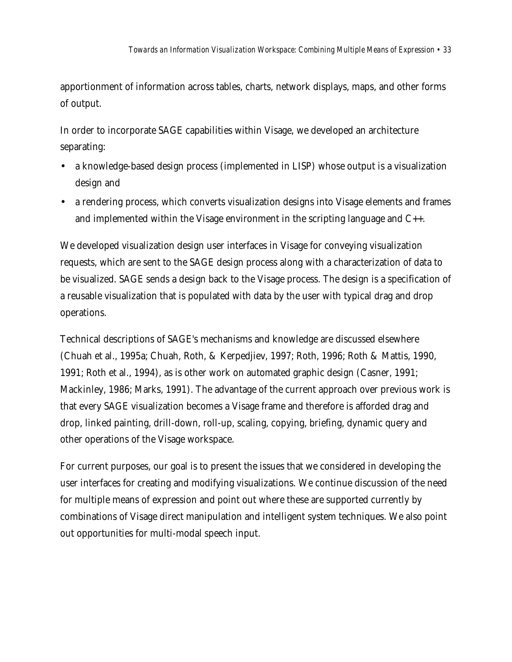apportionment of information across tables, charts, network displays, maps, and other forms of output.

In order to incorporate SAGE capabilities within Visage, we developed an architecture separating:

- a knowledge-based design process (implemented in LISP) whose output is a visualization design and
- a rendering process, which converts visualization designs into Visage elements and frames and implemented within the Visage environment in the scripting language and C++.

We developed visualization design user interfaces in Visage for conveying visualization requests, which are sent to the SAGE design process along with a characterization of data to be visualized. SAGE sends a design back to the Visage process. The design is a specification of a reusable visualization that is populated with data by the user with typical drag and drop operations.

Technical descriptions of SAGE's mechanisms and knowledge are discussed elsewhere (Chuah et al., 1995a; Chuah, Roth, & Kerpedjiev, 1997; Roth, 1996; Roth & Mattis, 1990, 1991; Roth et al., 1994), as is other work on automated graphic design (Casner, 1991; Mackinley, 1986; Marks, 1991). The advantage of the current approach over previous work is that every SAGE visualization becomes a Visage frame and therefore is afforded drag and drop, linked painting, drill-down, roll-up, scaling, copying, briefing, dynamic query and other operations of the Visage workspace.

For current purposes, our goal is to present the issues that we considered in developing the user interfaces for creating and modifying visualizations. We continue discussion of the need for multiple means of expression and point out where these are supported currently by combinations of Visage direct manipulation and intelligent system techniques. We also point out opportunities for multi-modal speech input.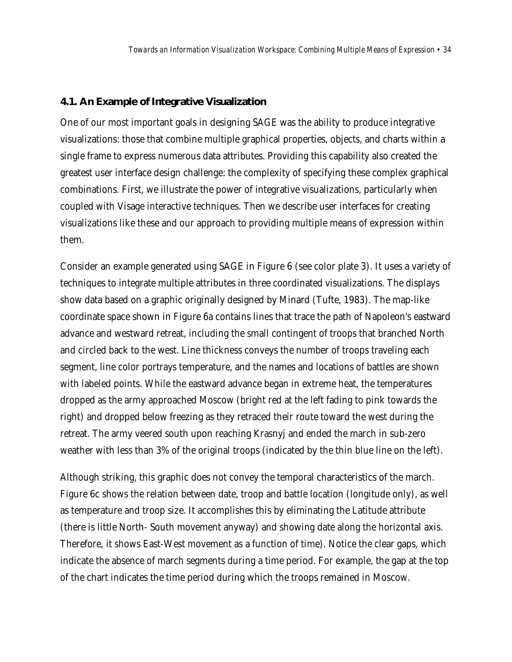#### **4.1. An Example of Integrative Visualization**

One of our most important goals in designing SAGE was the ability to produce integrative visualizations: those that combine multiple graphical properties, objects, and charts within a single frame to express numerous data attributes. Providing this capability also created the greatest user interface design challenge: the complexity of specifying these complex graphical combinations. First, we illustrate the power of integrative visualizations, particularly when coupled with Visage interactive techniques. Then we describe user interfaces for creating visualizations like these and our approach to providing multiple means of expression within them.

Consider an example generated using SAGE in Figure 6 (see color plate 3). It uses a variety of techniques to integrate multiple attributes in three coordinated visualizations. The displays show data based on a graphic originally designed by Minard (Tufte, 1983). The map-like coordinate space shown in Figure 6a contains lines that trace the path of Napoleon's eastward advance and westward retreat, including the small contingent of troops that branched North and circled back to the west. Line thickness conveys the number of troops traveling each segment, line color portrays temperature, and the names and locations of battles are shown with labeled points. While the eastward advance began in extreme heat, the temperatures dropped as the army approached Moscow (bright red at the left fading to pink towards the right) and dropped below freezing as they retraced their route toward the west during the retreat. The army veered south upon reaching Krasnyj and ended the march in sub-zero weather with less than 3% of the original troops (indicated by the thin blue line on the left).

Although striking, this graphic does not convey the temporal characteristics of the march. Figure 6c shows the relation between date, troop and battle location (longitude only), as well as temperature and troop size. It accomplishes this by eliminating the Latitude attribute (there is little North- South movement anyway) and showing date along the horizontal axis. Therefore, it shows East-West movement as a function of time). Notice the clear gaps, which indicate the absence of march segments during a time period. For example, the gap at the top of the chart indicates the time period during which the troops remained in Moscow.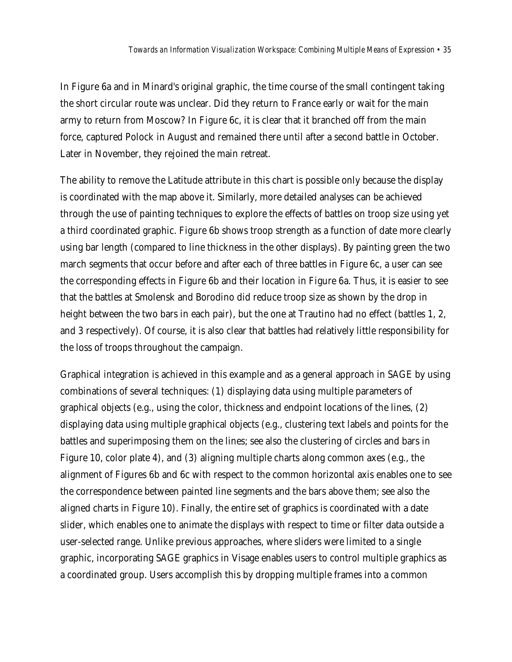In Figure 6a and in Minard's original graphic, the time course of the small contingent taking the short circular route was unclear. Did they return to France early or wait for the main army to return from Moscow? In Figure 6c, it is clear that it branched off from the main force, captured Polock in August and remained there until after a second battle in October. Later in November, they rejoined the main retreat.

The ability to remove the Latitude attribute in this chart is possible only because the display is coordinated with the map above it. Similarly, more detailed analyses can be achieved through the use of painting techniques to explore the effects of battles on troop size using yet a third coordinated graphic. Figure 6b shows troop strength as a function of date more clearly using bar length (compared to line thickness in the other displays). By painting green the two march segments that occur before and after each of three battles in Figure 6c, a user can see the corresponding effects in Figure 6b and their location in Figure 6a. Thus, it is easier to see that the battles at Smolensk and Borodino did reduce troop size as shown by the drop in height between the two bars in each pair), but the one at Trautino had no effect (battles 1, 2, and 3 respectively). Of course, it is also clear that battles had relatively little responsibility for the loss of troops throughout the campaign.

Graphical integration is achieved in this example and as a general approach in SAGE by using combinations of several techniques: (1) displaying data using multiple parameters of graphical objects (e.g., using the color, thickness and endpoint locations of the lines, (2) displaying data using multiple graphical objects (e.g., clustering text labels and points for the battles and superimposing them on the lines; see also the clustering of circles and bars in Figure 10, color plate 4), and (3) aligning multiple charts along common axes (e.g., the alignment of Figures 6b and 6c with respect to the common horizontal axis enables one to see the correspondence between painted line segments and the bars above them; see also the aligned charts in Figure 10). Finally, the entire set of graphics is coordinated with a date slider, which enables one to animate the displays with respect to time or filter data outside a user-selected range. Unlike previous approaches, where sliders were limited to a single graphic, incorporating SAGE graphics in Visage enables users to control multiple graphics as a coordinated group. Users accomplish this by dropping multiple frames into a common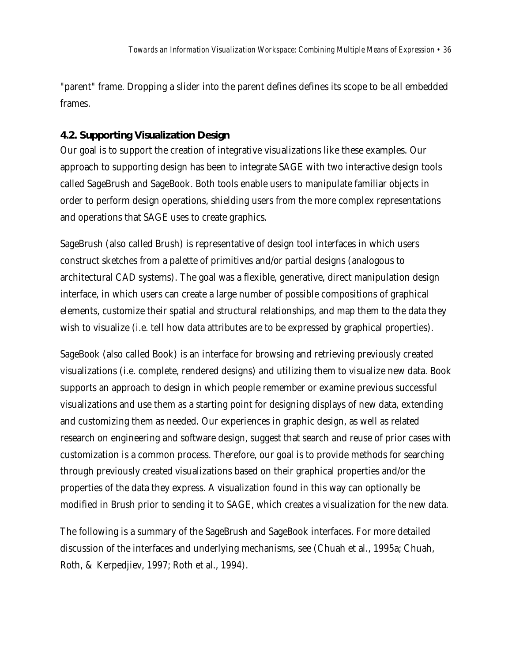"parent" frame. Dropping a slider into the parent defines defines its scope to be all embedded frames.

# **4.2. Supporting Visualization Design**

Our goal is to support the creation of integrative visualizations like these examples. Our approach to supporting design has been to integrate SAGE with two interactive design tools called SageBrush and SageBook. Both tools enable users to manipulate familiar objects in order to perform design operations, shielding users from the more complex representations and operations that SAGE uses to create graphics.

SageBrush (also called Brush) is representative of design tool interfaces in which users construct sketches from a palette of primitives and/or partial designs (analogous to architectural CAD systems). The goal was a flexible, generative, direct manipulation design interface, in which users can create a large number of possible compositions of graphical elements, customize their spatial and structural relationships, and map them to the data they wish to visualize (i.e. tell how data attributes are to be expressed by graphical properties).

SageBook (also called Book) is an interface for browsing and retrieving previously created visualizations (i.e. complete, rendered designs) and utilizing them to visualize new data. Book supports an approach to design in which people remember or examine previous successful visualizations and use them as a starting point for designing displays of new data, extending and customizing them as needed. Our experiences in graphic design, as well as related research on engineering and software design, suggest that search and reuse of prior cases with customization is a common process. Therefore, our goal is to provide methods for searching through previously created visualizations based on their graphical properties and/or the properties of the data they express. A visualization found in this way can optionally be modified in Brush prior to sending it to SAGE, which creates a visualization for the new data.

The following is a summary of the SageBrush and SageBook interfaces. For more detailed discussion of the interfaces and underlying mechanisms, see (Chuah et al., 1995a; Chuah, Roth, & Kerpedjiev, 1997; Roth et al., 1994).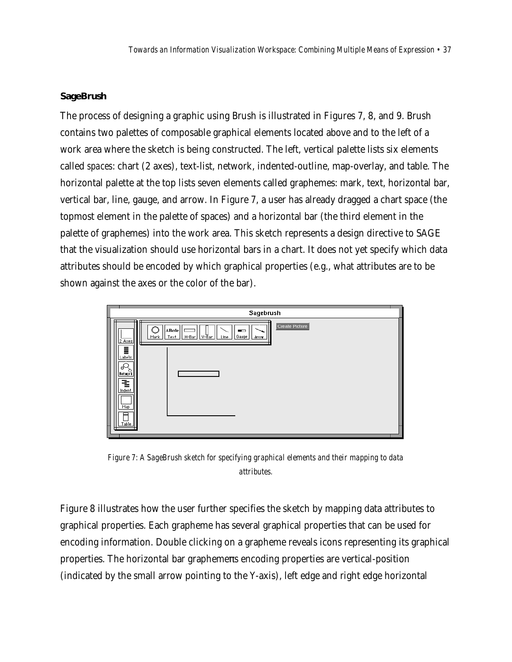### **SageBrush**

The process of designing a graphic using Brush is illustrated in Figures 7, 8, and 9. Brush contains two palettes of composable graphical elements located above and to the left of a work area where the sketch is being constructed. The left, vertical palette lists six elements called *spaces*: chart (2 axes), text-list, network, indented-outline, map-overlay, and table. The horizontal palette at the top lists seven elements called graphemes: mark, text, horizontal bar, vertical bar, line, gauge, and arrow. In Figure 7, a user has already dragged a chart space (the topmost element in the palette of spaces) and a horizontal bar (the third element in the palette of graphemes) into the work area. This sketch represents a design directive to SAGE that the visualization should use horizontal bars in a chart. It does not yet specify which data attributes should be encoded by which graphical properties (e.g., what attributes are to be shown against the axes or the color of the bar).



*Figure 7: A SageBrush sketch for specifying graphical elements and their mapping to data attributes.*

Figure 8 illustrates how the user further specifies the sketch by mapping data attributes to graphical properties. Each grapheme has several graphical properties that can be used for encoding information. Double clicking on a grapheme reveals icons representing its graphical properties. The horizontal bar graphemeπs encoding properties are vertical-position (indicated by the small arrow pointing to the Y-axis), left edge and right edge horizontal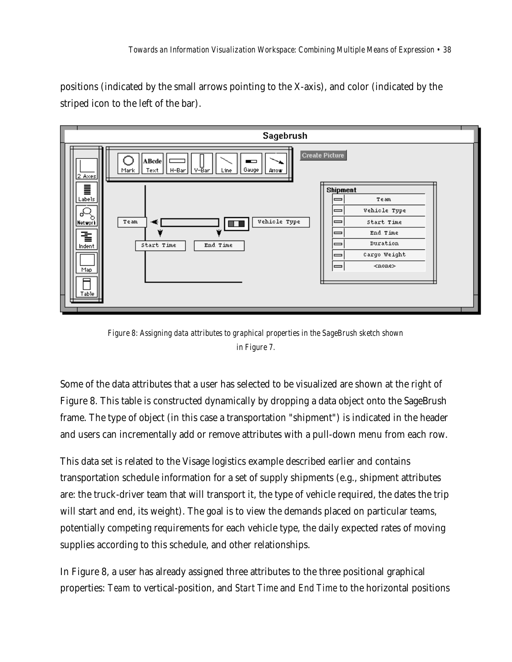positions (indicated by the small arrows pointing to the X-axis), and color (indicated by the striped icon to the left of the bar).



*Figure 8: Assigning data attributes to graphical properties in the SageBrush sketch shown in Figure 7.*

Some of the data attributes that a user has selected to be visualized are shown at the right of Figure 8. This table is constructed dynamically by dropping a data object onto the SageBrush frame. The type of object (in this case a transportation "shipment") is indicated in the header and users can incrementally add or remove attributes with a pull-down menu from each row.

This data set is related to the Visage logistics example described earlier and contains transportation schedule information for a set of supply shipments (e.g., shipment attributes are: the truck-driver team that will transport it, the type of vehicle required, the dates the trip will start and end, its weight). The goal is to view the demands placed on particular teams, potentially competing requirements for each vehicle type, the daily expected rates of moving supplies according to this schedule, and other relationships.

In Figure 8, a user has already assigned three attributes to the three positional graphical properties: *Team* to vertical-position, and *Start Time* and *End Time* to the horizontal positions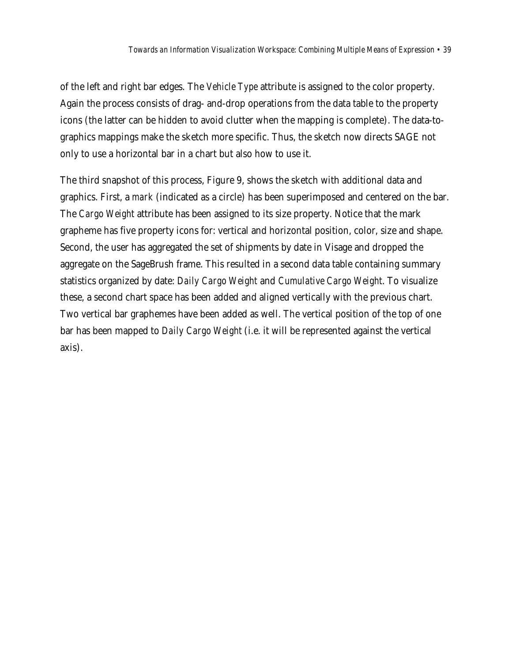of the left and right bar edges. The *Vehicle Type* attribute is assigned to the color property. Again the process consists of drag- and-drop operations from the data table to the property icons (the latter can be hidden to avoid clutter when the mapping is complete). The data-tographics mappings make the sketch more specific. Thus, the sketch now directs SAGE not only to use a horizontal bar in a chart but also how to use it.

The third snapshot of this process, Figure 9, shows the sketch with additional data and graphics. First, a *mark* (indicated as a circle) has been superimposed and centered on the bar. The *Cargo Weight* attribute has been assigned to its size property. Notice that the mark grapheme has five property icons for: vertical and horizontal position, color, size and shape. Second, the user has aggregated the set of shipments by date in Visage and dropped the aggregate on the SageBrush frame. This resulted in a second data table containing summary statistics organized by date: *Daily Cargo Weight* and *Cumulative Cargo Weight*. To visualize these, a second chart space has been added and aligned vertically with the previous chart. Two vertical bar graphemes have been added as well. The vertical position of the top of one bar has been mapped to *Daily Cargo Weight* (i.e. it will be represented against the vertical axis).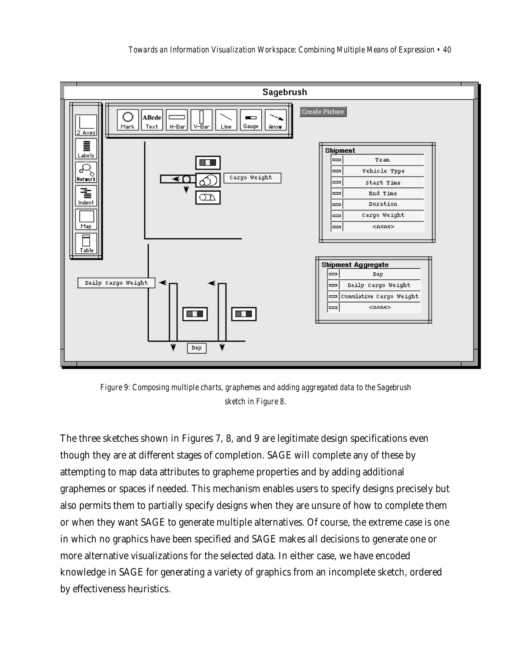

*Figure 9: Composing multiple charts, graphemes and adding aggregated data to the Sagebrush sketch in Figure 8.*

The three sketches shown in Figures 7, 8, and 9 are legitimate design specifications even though they are at different stages of completion. SAGE will complete any of these by attempting to map data attributes to grapheme properties and by adding additional graphemes or spaces if needed. This mechanism enables users to specify designs precisely but also permits them to partially specify designs when they are unsure of how to complete them or when they want SAGE to generate multiple alternatives. Of course, the extreme case is one in which no graphics have been specified and SAGE makes all decisions to generate one or more alternative visualizations for the selected data. In either case, we have encoded knowledge in SAGE for generating a variety of graphics from an incomplete sketch, ordered by effectiveness heuristics.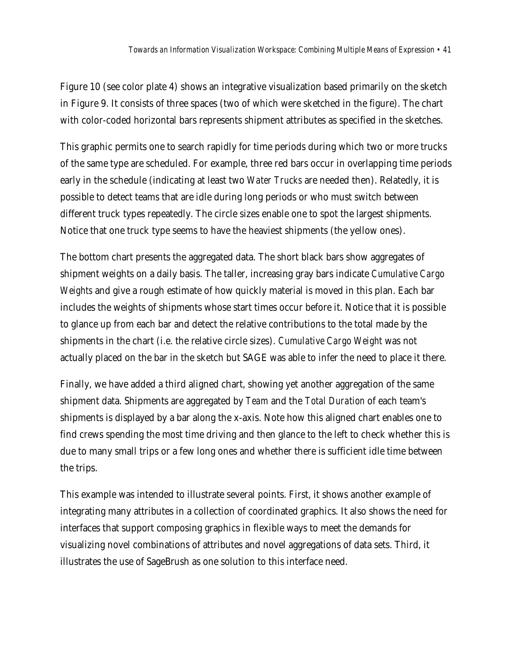Figure 10 (see color plate 4) shows an integrative visualization based primarily on the sketch in Figure 9. It consists of three spaces (two of which were sketched in the figure). The chart with color-coded horizontal bars represents shipment attributes as specified in the sketches.

This graphic permits one to search rapidly for time periods during which two or more trucks of the same type are scheduled. For example, three red bars occur in overlapping time periods early in the schedule (indicating at least two *Water Trucks* are needed then). Relatedly, it is possible to detect teams that are idle during long periods or who must switch between different truck types repeatedly. The circle sizes enable one to spot the largest shipments. Notice that one truck type seems to have the heaviest shipments (the yellow ones).

The bottom chart presents the aggregated data. The short black bars show aggregates of shipment weights on a daily basis. The taller, increasing gray bars indicate *Cumulative Cargo Weights* and give a rough estimate of how quickly material is moved in this plan. Each bar includes the weights of shipments whose start times occur before it. Notice that it is possible to glance up from each bar and detect the relative contributions to the total made by the shipments in the chart (i.e. the relative circle sizes). *Cumulative Cargo Weight* was not actually placed on the bar in the sketch but SAGE was able to infer the need to place it there.

Finally, we have added a third aligned chart, showing yet another aggregation of the same shipment data. Shipments are aggregated by *Team* and the *Total Duration* of each team's shipments is displayed by a bar along the x-axis. Note how this aligned chart enables one to find crews spending the most time driving and then glance to the left to check whether this is due to many small trips or a few long ones and whether there is sufficient idle time between the trips.

This example was intended to illustrate several points. First, it shows another example of integrating many attributes in a collection of coordinated graphics. It also shows the need for interfaces that support composing graphics in flexible ways to meet the demands for visualizing novel combinations of attributes and novel aggregations of data sets. Third, it illustrates the use of SageBrush as one solution to this interface need.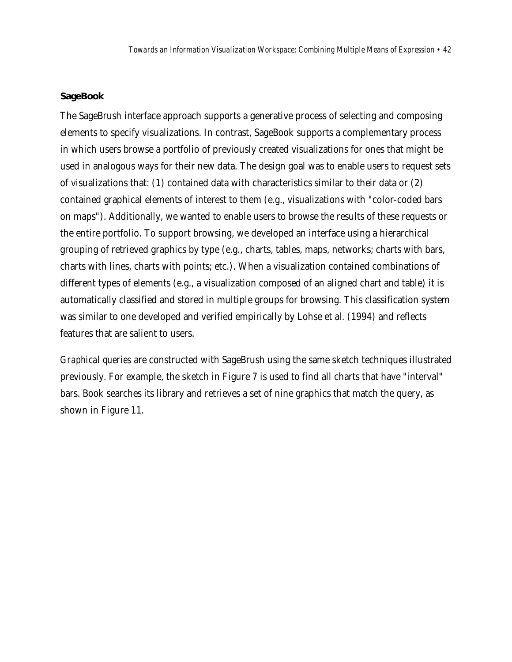#### **SageBook**

The SageBrush interface approach supports a generative process of selecting and composing elements to specify visualizations. In contrast, SageBook supports a complementary process in which users browse a portfolio of previously created visualizations for ones that might be used in analogous ways for their new data. The design goal was to enable users to request sets of visualizations that: (1) contained data with characteristics similar to their data or (2) contained graphical elements of interest to them (e.g., visualizations with "color-coded bars on maps"). Additionally, we wanted to enable users to browse the results of these requests or the entire portfolio. To support browsing, we developed an interface using a hierarchical grouping of retrieved graphics by type (e.g., charts, tables, maps, networks; charts with bars, charts with lines, charts with points; etc.). When a visualization contained combinations of different types of elements (e.g., a visualization composed of an aligned chart and table) it is automatically classified and stored in multiple groups for browsing. This classification system was similar to one developed and verified empirically by Lohse et al. (1994) and reflects features that are salient to users.

*Graphical queries* are constructed with SageBrush using the same sketch techniques illustrated previously. For example, the sketch in Figure 7 is used to find all charts that have "interval" bars. Book searches its library and retrieves a set of nine graphics that match the query, as shown in Figure 11.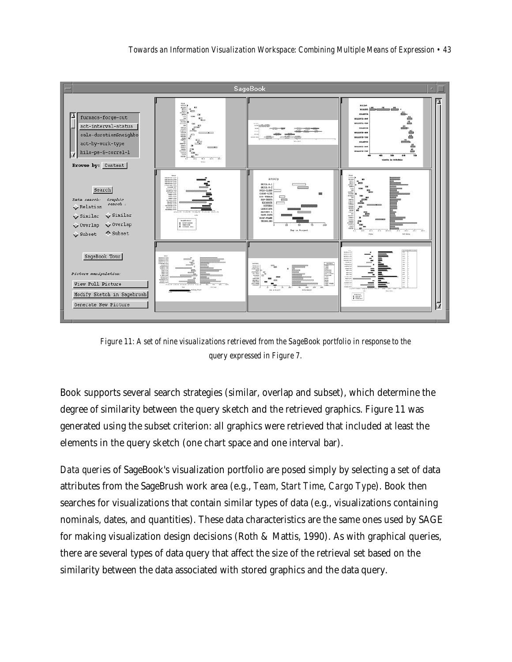

*Figure 11: A set of nine visualizations retrieved from the SageBook portfolio in response to the query expressed in Figure 7.*

Book supports several search strategies (similar, overlap and subset), which determine the degree of similarity between the query sketch and the retrieved graphics. Figure 11 was generated using the subset criterion: all graphics were retrieved that included at least the elements in the query sketch (one chart space and one interval bar).

*Data queries* of SageBook's visualization portfolio are posed simply by selecting a set of data attributes from the SageBrush work area (e.g., *Team*, *Start Time*, *Cargo Type*). Book then searches for visualizations that contain similar types of data (e.g., visualizations containing nominals, dates, and quantities). These data characteristics are the same ones used by SAGE for making visualization design decisions (Roth & Mattis, 1990). As with graphical queries, there are several types of data query that affect the size of the retrieval set based on the similarity between the data associated with stored graphics and the data query.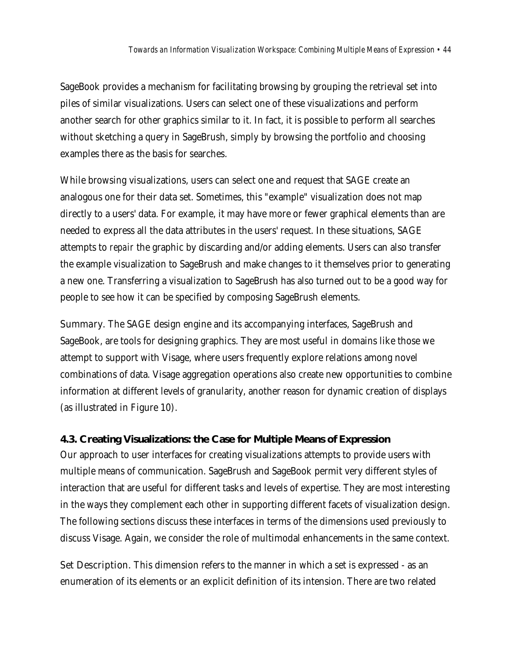SageBook provides a mechanism for facilitating browsing by grouping the retrieval set into piles of similar visualizations. Users can select one of these visualizations and perform another search for other graphics similar to it. In fact, it is possible to perform all searches without sketching a query in SageBrush, simply by browsing the portfolio and choosing examples there as the basis for searches.

While browsing visualizations, users can select one and request that SAGE create an analogous one for their data set. Sometimes, this "example" visualization does not map directly to a users' data. For example, it may have more or fewer graphical elements than are needed to express all the data attributes in the users' request. In these situations, SAGE attempts to *repair* the graphic by discarding and/or adding elements. Users can also transfer the example visualization to SageBrush and make changes to it themselves prior to generating a new one. Transferring a visualization to SageBrush has also turned out to be a good way for people to see how it can be specified by composing SageBrush elements.

**Summary.** The SAGE design engine and its accompanying interfaces, SageBrush and SageBook, are tools for designing graphics. They are most useful in domains like those we attempt to support with Visage, where users frequently explore relations among novel combinations of data. Visage aggregation operations also create new opportunities to combine information at different levels of granularity, another reason for dynamic creation of displays (as illustrated in Figure 10).

## **4.3. Creating Visualizations: the Case for Multiple Means of Expression**

Our approach to user interfaces for creating visualizations attempts to provide users with multiple means of communication. SageBrush and SageBook permit very different styles of interaction that are useful for different tasks and levels of expertise. They are most interesting in the ways they complement each other in supporting different facets of visualization design. The following sections discuss these interfaces in terms of the dimensions used previously to discuss Visage. Again, we consider the role of multimodal enhancements in the same context.

Set Description. This dimension refers to the manner in which a set is expressed - as an enumeration of its elements or an explicit definition of its intension. There are two related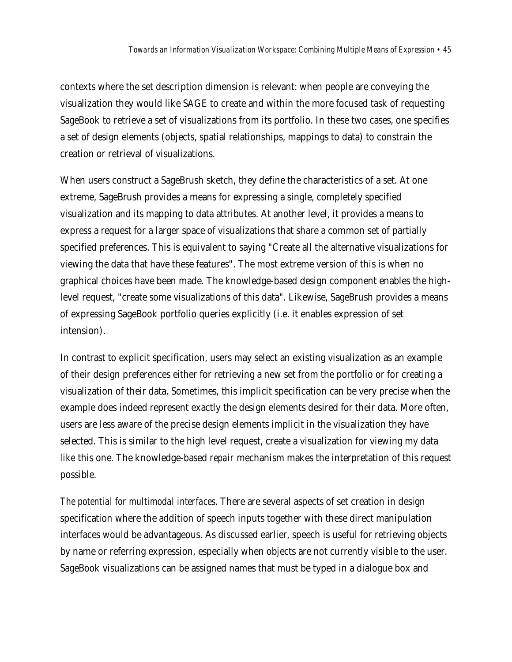contexts where the set description dimension is relevant: when people are conveying the visualization they would like SAGE to create and within the more focused task of requesting SageBook to retrieve a set of visualizations from its portfolio. In these two cases, one specifies a set of design elements (objects, spatial relationships, mappings to data) to constrain the creation or retrieval of visualizations.

When users construct a SageBrush sketch, they define the characteristics of a set. At one extreme, SageBrush provides a means for expressing a single, completely specified visualization and its mapping to data attributes. At another level, it provides a means to express a request for a larger space of visualizations that share a common set of partially specified preferences. This is equivalent to saying "Create all the alternative visualizations for viewing the data that have these features". The most extreme version of this is when no graphical choices have been made. The knowledge-based design component enables the highlevel request, "create some visualizations of this data". Likewise, SageBrush provides a means of expressing SageBook portfolio queries explicitly (i.e. it enables expression of set intension).

In contrast to explicit specification, users may select an existing visualization as an example of their design preferences either for retrieving a new set from the portfolio or for creating a visualization of their data. Sometimes, this implicit specification can be very precise when the example does indeed represent exactly the design elements desired for their data. More often, users are less aware of the precise design elements implicit in the visualization they have selected. This is similar to the high level request, create a visualization for viewing my data *like* this one. The knowledge-based *repair* mechanism makes the interpretation of this request possible.

*The potential for multimodal interfaces.* There are several aspects of set creation in design specification where the addition of speech inputs together with these direct manipulation interfaces would be advantageous. As discussed earlier, speech is useful for retrieving objects by name or referring expression, especially when objects are not currently visible to the user. SageBook visualizations can be assigned names that must be typed in a dialogue box and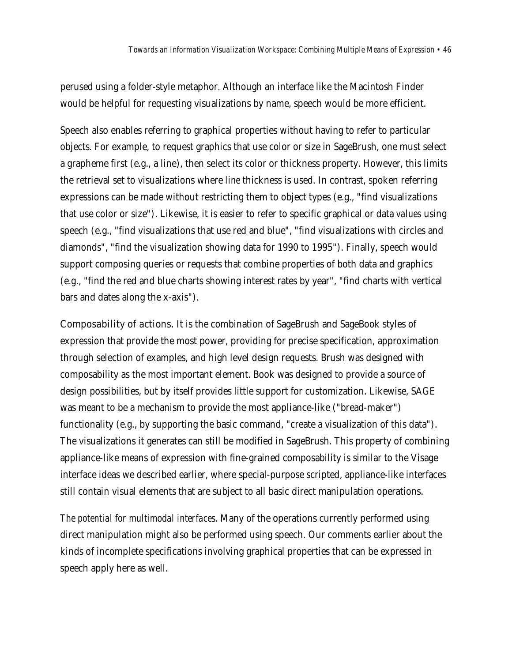perused using a folder-style metaphor. Although an interface like the Macintosh Finder would be helpful for requesting visualizations by name, speech would be more efficient.

Speech also enables referring to graphical properties without having to refer to particular objects. For example, to request graphics that use color or size in SageBrush, one must select a grapheme first (e.g., a line), then select its color or thickness property. However, this limits the retrieval set to visualizations where *line* thickness is used. In contrast, spoken referring expressions can be made without restricting them to object types (e.g., "find visualizations that use color or size"). Likewise, it is easier to refer to specific graphical or data *values* using speech (e.g., "find visualizations that use red and blue", "find visualizations with circles and diamonds", "find the visualization showing data for 1990 to 1995"). Finally, speech would support composing queries or requests that combine properties of both data and graphics (e.g., "find the red and blue charts showing interest rates by year", "find charts with vertical bars and dates along the x-axis").

Composability of actions. It is the combination of SageBrush and SageBook styles of expression that provide the most power, providing for precise specification, approximation through selection of examples, and high level design requests. Brush was designed with composability as the most important element. Book was designed to provide a source of design possibilities, but by itself provides little support for customization. Likewise, SAGE was meant to be a mechanism to provide the most appliance-like ("bread-maker") functionality (e.g., by supporting the basic command, "create a visualization of this data"). The visualizations it generates can still be modified in SageBrush. This property of combining appliance-like means of expression with fine-grained composability is similar to the Visage interface ideas we described earlier, where special-purpose scripted, appliance-like interfaces still contain visual elements that are subject to all basic direct manipulation operations.

*The potential for multimodal interfaces.* Many of the operations currently performed using direct manipulation might also be performed using speech. Our comments earlier about the kinds of incomplete specifications involving graphical properties that can be expressed in speech apply here as well.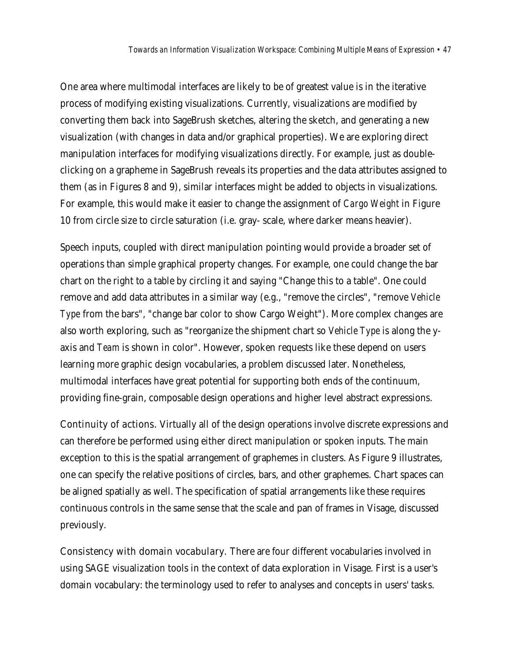One area where multimodal interfaces are likely to be of greatest value is in the iterative process of modifying existing visualizations. Currently, visualizations are modified by converting them back into SageBrush sketches, altering the sketch, and generating a new visualization (with changes in data and/or graphical properties). We are exploring direct manipulation interfaces for modifying visualizations directly. For example, just as doubleclicking on a grapheme in SageBrush reveals its properties and the data attributes assigned to them (as in Figures 8 and 9), similar interfaces might be added to objects in visualizations. For example, this would make it easier to change the assignment of *Cargo Weight* in Figure 10 from circle size to circle saturation (i.e. gray- scale, where darker means heavier).

Speech inputs, coupled with direct manipulation pointing would provide a broader set of operations than simple graphical property changes. For example, one could change the bar chart on the right to a table by circling it and saying "Change this to a table". One could remove and add data attributes in a similar way (e.g., "remove the circles", "remove *Vehicle Type* from the bars", "change bar color to show Cargo Weight"). More complex changes are also worth exploring, such as "reorganize the shipment chart so *Vehicle Type* is along the yaxis and *Team* is shown in color". However, spoken requests like these depend on users learning more graphic design vocabularies, a problem discussed later. Nonetheless, multimodal interfaces have great potential for supporting both ends of the continuum, providing fine-grain, composable design operations and higher level abstract expressions.

Continuity of actions. Virtually all of the design operations involve discrete expressions and can therefore be performed using either direct manipulation or spoken inputs. The main exception to this is the spatial arrangement of graphemes in clusters. As Figure 9 illustrates, one can specify the relative positions of circles, bars, and other graphemes. Chart spaces can be aligned spatially as well. The specification of spatial arrangements like these requires continuous controls in the same sense that the scale and pan of frames in Visage, discussed previously.

Consistency with domain vocabulary. There are four different vocabularies involved in using SAGE visualization tools in the context of data exploration in Visage. First is a user's domain vocabulary: the terminology used to refer to analyses and concepts in users' tasks.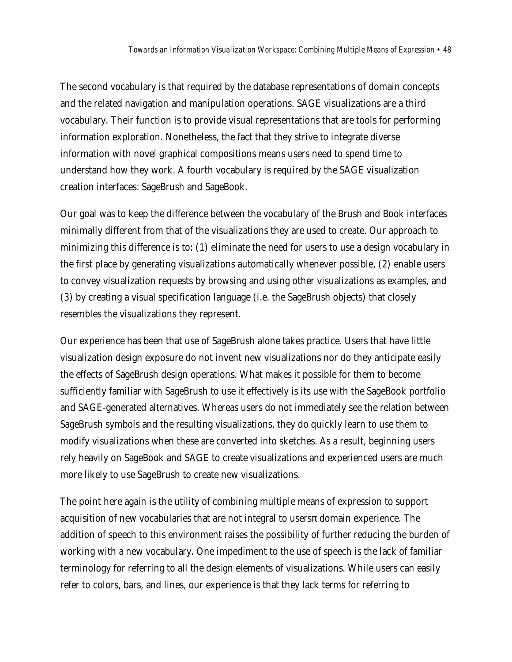The second vocabulary is that required by the database representations of domain concepts and the related navigation and manipulation operations. SAGE visualizations are a third vocabulary. Their function is to provide visual representations that are tools for performing information exploration. Nonetheless, the fact that they strive to integrate diverse information with novel graphical compositions means users need to spend time to understand how they work. A fourth vocabulary is required by the SAGE visualization creation interfaces: SageBrush and SageBook.

Our goal was to keep the difference between the vocabulary of the Brush and Book interfaces minimally different from that of the visualizations they are used to create. Our approach to minimizing this difference is to: (1) eliminate the need for users to use a design vocabulary in the first place by generating visualizations automatically whenever possible, (2) enable users to convey visualization requests by browsing and using other visualizations as examples, and (3) by creating a visual specification language (i.e. the SageBrush objects) that closely resembles the visualizations they represent.

Our experience has been that use of SageBrush alone takes practice. Users that have little visualization design exposure do not invent new visualizations nor do they anticipate easily the effects of SageBrush design operations. What makes it possible for them to become sufficiently familiar with SageBrush to use it effectively is its use with the SageBook portfolio and SAGE-generated alternatives. Whereas users do not immediately see the relation between SageBrush symbols and the resulting visualizations, they do quickly learn to use them to modify visualizations when these are converted into sketches. As a result, beginning users rely heavily on SageBook and SAGE to create visualizations and experienced users are much more likely to use SageBrush to create new visualizations.

The point here again is the utility of combining multiple means of expression to support acquisition of new vocabularies that are not integral to usersπ domain experience. The addition of speech to this environment raises the possibility of further reducing the burden of working with a new vocabulary. One impediment to the use of speech is the lack of familiar terminology for referring to all the design elements of visualizations. While users can easily refer to colors, bars, and lines, our experience is that they lack terms for referring to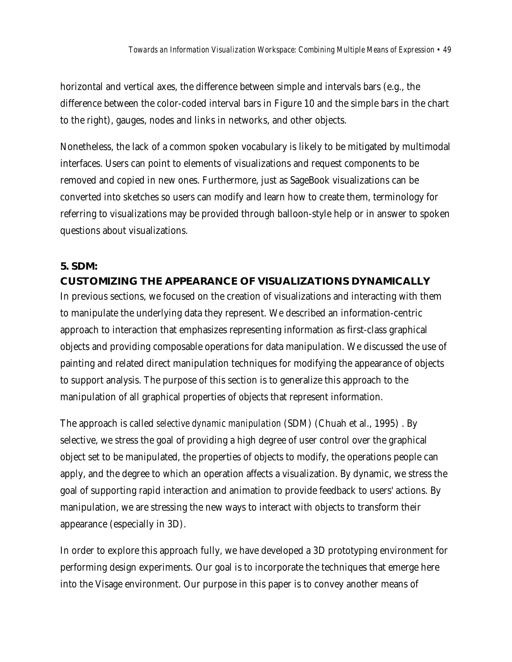horizontal and vertical axes, the difference between simple and intervals bars (e.g., the difference between the color-coded interval bars in Figure 10 and the simple bars in the chart to the right), gauges, nodes and links in networks, and other objects.

Nonetheless, the lack of a common spoken vocabulary is likely to be mitigated by multimodal interfaces. Users can point to elements of visualizations and request components to be removed and copied in new ones. Furthermore, just as SageBook visualizations can be converted into sketches so users can modify and learn how to create them, terminology for referring to visualizations may be provided through balloon-style help or in answer to spoken questions about visualizations.

### **5. SDM:**

# **CUSTOMIZING THE APPEARANCE OF VISUALIZATIONS DYNAMICALLY**

In previous sections, we focused on the creation of visualizations and interacting with them to manipulate the underlying data they represent. We described an information-centric approach to interaction that emphasizes representing information as first-class graphical objects and providing composable operations for data manipulation. We discussed the use of painting and related direct manipulation techniques for modifying the appearance of objects to support analysis. The purpose of this section is to generalize this approach to the manipulation of all graphical properties of objects that represent information.

The approach is called *selective dynamic manipulation* (SDM) (Chuah et al., 1995) . By selective, we stress the goal of providing a high degree of user control over the graphical object set to be manipulated, the properties of objects to modify, the operations people can apply, and the degree to which an operation affects a visualization. By dynamic, we stress the goal of supporting rapid interaction and animation to provide feedback to users' actions. By manipulation, we are stressing the new ways to interact with objects to transform their appearance (especially in 3D).

In order to explore this approach fully, we have developed a 3D prototyping environment for performing design experiments. Our goal is to incorporate the techniques that emerge here into the Visage environment. Our purpose in this paper is to convey another means of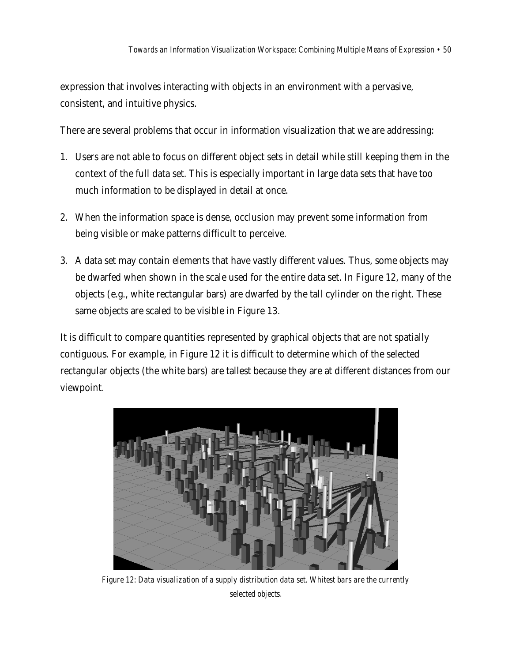expression that involves interacting with objects in an environment with a pervasive, consistent, and intuitive physics.

There are several problems that occur in information visualization that we are addressing:

- 1. Users are not able to focus on different object sets in detail while still keeping them in the context of the full data set. This is especially important in large data sets that have too much information to be displayed in detail at once.
- 2. When the information space is dense, occlusion may prevent some information from being visible or make patterns difficult to perceive.
- 3. A data set may contain elements that have vastly different values. Thus, some objects may be dwarfed when shown in the scale used for the entire data set. In Figure 12, many of the objects (e.g., white rectangular bars) are dwarfed by the tall cylinder on the right. These same objects are scaled to be visible in Figure 13.

It is difficult to compare quantities represented by graphical objects that are not spatially contiguous. For example, in Figure 12 it is difficult to determine which of the selected rectangular objects (the white bars) are tallest because they are at different distances from our viewpoint.



*Figure 12: Data visualization of a supply distribution data set. Whitest bars are the currently selected objects.*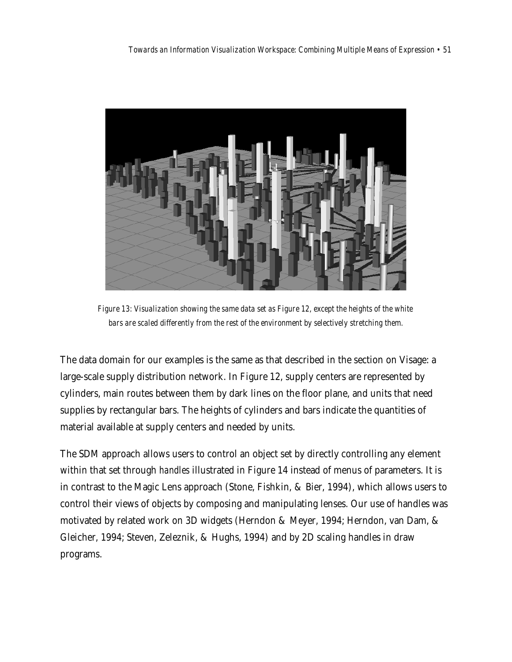

*Figure 13: Visualization showing the same data set as Figure 12, except the heights of the white bars are scaled differently from the rest of the environment by selectively stretching them.*

The data domain for our examples is the same as that described in the section on Visage: a large-scale supply distribution network. In Figure 12, supply centers are represented by cylinders, main routes between them by dark lines on the floor plane, and units that need supplies by rectangular bars. The heights of cylinders and bars indicate the quantities of material available at supply centers and needed by units.

The SDM approach allows users to control an object set by directly controlling any element within that set through *handles* illustrated in Figure 14 instead of menus of parameters. It is in contrast to the Magic Lens approach (Stone, Fishkin, & Bier, 1994), which allows users to control their views of objects by composing and manipulating lenses. Our use of handles was motivated by related work on 3D widgets (Herndon & Meyer, 1994; Herndon, van Dam, & Gleicher, 1994; Steven, Zeleznik, & Hughs, 1994) and by 2D scaling handles in draw programs.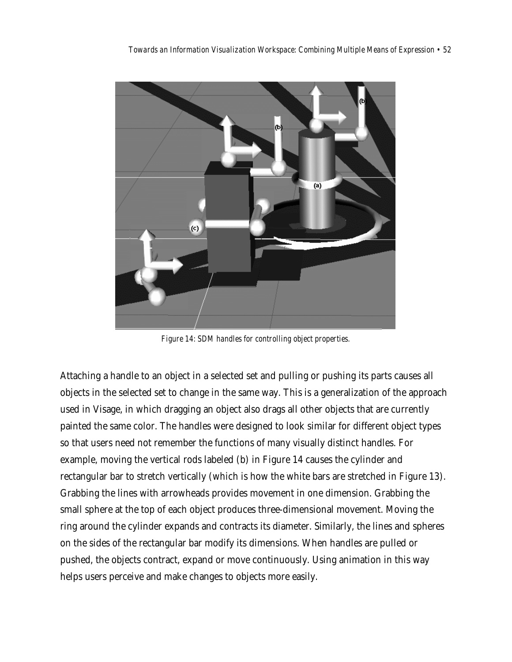

*Figure 14: SDM handles for controlling object properties.*

Attaching a handle to an object in a selected set and pulling or pushing its parts causes all objects in the selected set to change in the same way. This is a generalization of the approach used in Visage, in which dragging an object also drags all other objects that are currently painted the same color. The handles were designed to look similar for different object types so that users need not remember the functions of many visually distinct handles. For example, moving the vertical rods labeled (b) in Figure 14 causes the cylinder and rectangular bar to stretch vertically (which is how the white bars are stretched in Figure 13). Grabbing the lines with arrowheads provides movement in one dimension. Grabbing the small sphere at the top of each object produces three-dimensional movement. Moving the ring around the cylinder expands and contracts its diameter. Similarly, the lines and spheres on the sides of the rectangular bar modify its dimensions. When handles are pulled or pushed, the objects contract, expand or move continuously. Using animation in this way helps users perceive and make changes to objects more easily.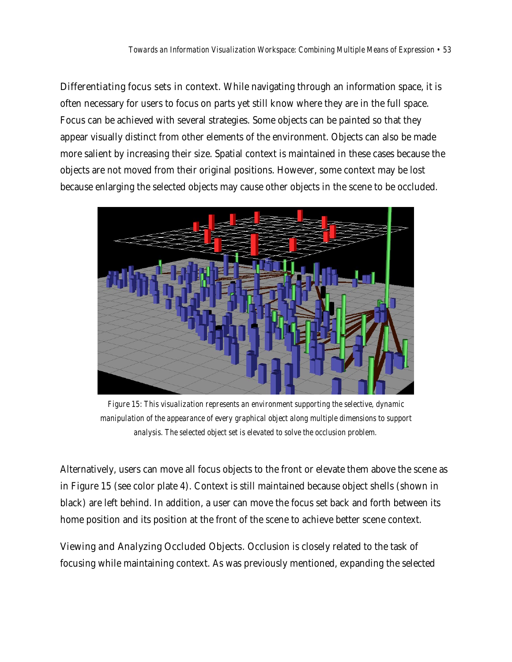**Differentiating focus sets in context.** While navigating through an information space, it is often necessary for users to focus on parts yet still know where they are in the full space. Focus can be achieved with several strategies. Some objects can be painted so that they appear visually distinct from other elements of the environment. Objects can also be made more salient by increasing their size. Spatial context is maintained in these cases because the objects are not moved from their original positions. However, some context may be lost because enlarging the selected objects may cause other objects in the scene to be occluded.



*Figure 15: This visualization represents an environment supporting the selective, dynamic manipulation of the appearance of every graphical object along multiple dimensions to support analysis. The selected object set is elevated to solve the occlusion problem.*

Alternatively, users can move all focus objects to the front or elevate them above the scene as in Figure 15 (see color plate 4). Context is still maintained because object shells (shown in black) are left behind. In addition, a user can move the focus set back and forth between its home position and its position at the front of the scene to achieve better scene context.

Viewing and Analyzing Occluded Objects. Occlusion is closely related to the task of focusing while maintaining context. As was previously mentioned, expanding the selected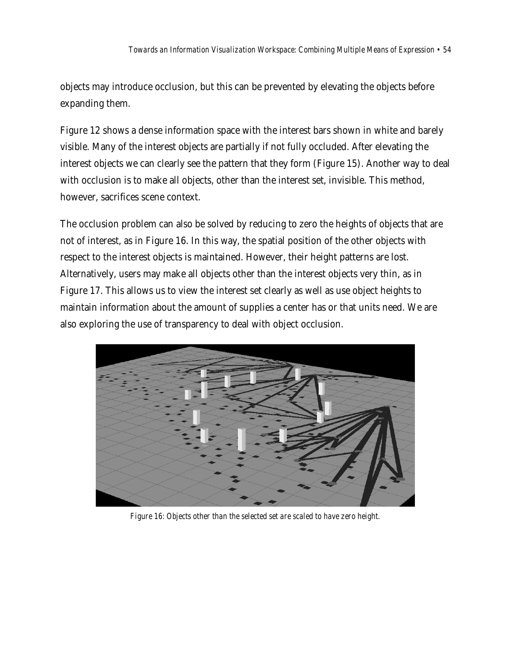objects may introduce occlusion, but this can be prevented by elevating the objects before expanding them.

Figure 12 shows a dense information space with the interest bars shown in white and barely visible. Many of the interest objects are partially if not fully occluded. After elevating the interest objects we can clearly see the pattern that they form (Figure 15). Another way to deal with occlusion is to make all objects, other than the interest set, invisible. This method, however, sacrifices scene context.

The occlusion problem can also be solved by reducing to zero the heights of objects that are not of interest, as in Figure 16. In this way, the spatial position of the other objects with respect to the interest objects is maintained. However, their height patterns are lost. Alternatively, users may make all objects other than the interest objects very thin, as in Figure 17. This allows us to view the interest set clearly as well as use object heights to maintain information about the amount of supplies a center has or that units need. We are also exploring the use of transparency to deal with object occlusion.



*Figure 16: Objects other than the selected set are scaled to have zero height.*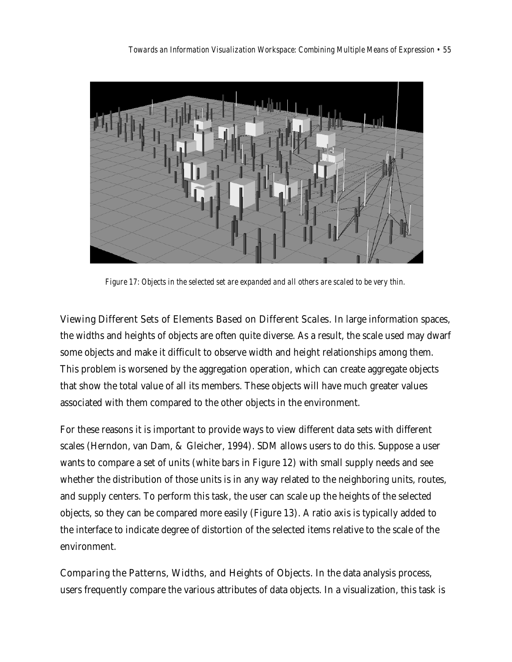

*Figure 17: Objects in the selected set are expanded and all others are scaled to be very thin.*

Viewing Different Sets of Elements Based on Different Scales. In large information spaces, the widths and heights of objects are often quite diverse. As a result, the scale used may dwarf some objects and make it difficult to observe width and height relationships among them. This problem is worsened by the aggregation operation, which can create aggregate objects that show the total value of all its members. These objects will have much greater values associated with them compared to the other objects in the environment.

For these reasons it is important to provide ways to view different data sets with different scales (Herndon, van Dam, & Gleicher, 1994). SDM allows users to do this. Suppose a user wants to compare a set of units (white bars in Figure 12) with small supply needs and see whether the distribution of those units is in any way related to the neighboring units, routes, and supply centers. To perform this task, the user can scale up the heights of the selected objects, so they can be compared more easily (Figure 13). A ratio axis is typically added to the interface to indicate degree of distortion of the selected items relative to the scale of the environment.

Comparing the Patterns, Widths, and Heights of Objects. In the data analysis process, users frequently compare the various attributes of data objects. In a visualization, this task is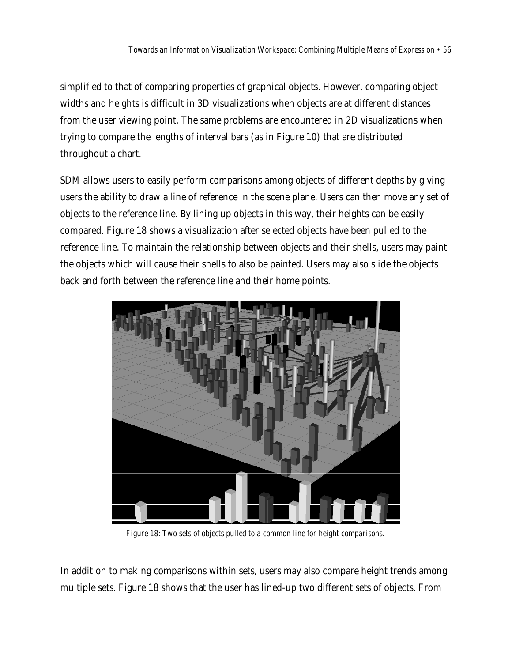simplified to that of comparing properties of graphical objects. However, comparing object widths and heights is difficult in 3D visualizations when objects are at different distances from the user viewing point. The same problems are encountered in 2D visualizations when trying to compare the lengths of interval bars (as in Figure 10) that are distributed throughout a chart.

SDM allows users to easily perform comparisons among objects of different depths by giving users the ability to draw a line of reference in the scene plane. Users can then move any set of objects to the reference line. By lining up objects in this way, their heights can be easily compared. Figure 18 shows a visualization after selected objects have been pulled to the reference line. To maintain the relationship between objects and their shells, users may paint the objects which will cause their shells to also be painted. Users may also slide the objects back and forth between the reference line and their home points.



*Figure 18: Two sets of objects pulled to a common line for height comparisons.*

In addition to making comparisons within sets, users may also compare height trends among multiple sets. Figure 18 shows that the user has lined-up two different sets of objects. From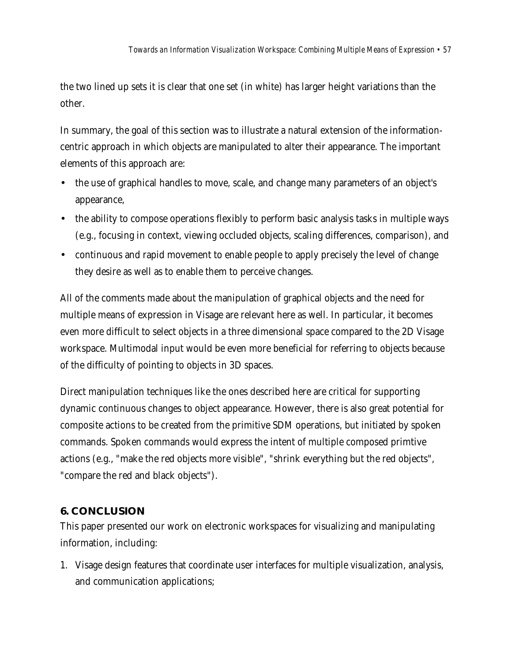the two lined up sets it is clear that one set (in white) has larger height variations than the other.

In summary, the goal of this section was to illustrate a natural extension of the informationcentric approach in which objects are manipulated to alter their appearance. The important elements of this approach are:

- the use of graphical handles to move, scale, and change many parameters of an object's appearance,
- the ability to compose operations flexibly to perform basic analysis tasks in multiple ways (e.g., focusing in context, viewing occluded objects, scaling differences, comparison), and
- continuous and rapid movement to enable people to apply precisely the level of change they desire as well as to enable them to perceive changes.

All of the comments made about the manipulation of graphical objects and the need for multiple means of expression in Visage are relevant here as well. In particular, it becomes even more difficult to select objects in a three dimensional space compared to the 2D Visage workspace. Multimodal input would be even more beneficial for referring to objects because of the difficulty of pointing to objects in 3D spaces.

Direct manipulation techniques like the ones described here are critical for supporting dynamic continuous changes to object appearance. However, there is also great potential for composite actions to be created from the primitive SDM operations, but initiated by spoken commands. Spoken commands would express the intent of multiple composed primtive actions (e.g., "make the red objects more visible", "shrink everything but the red objects", "compare the red and black objects").

## **6. CONCLUSION**

This paper presented our work on electronic workspaces for visualizing and manipulating information, including:

1. Visage design features that coordinate user interfaces for multiple visualization, analysis, and communication applications;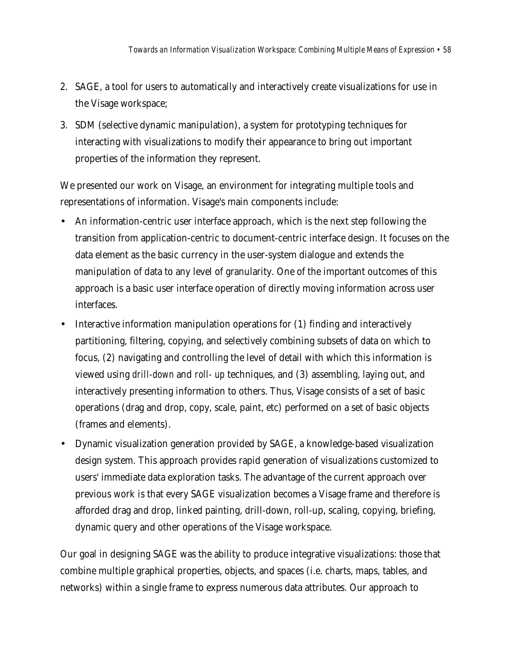- 2. SAGE, a tool for users to automatically and interactively create visualizations for use in the Visage workspace;
- 3. SDM (selective dynamic manipulation), a system for prototyping techniques for interacting with visualizations to modify their appearance to bring out important properties of the information they represent.

We presented our work on Visage, an environment for integrating multiple tools and representations of information. Visage's main components include:

- An information-centric user interface approach, which is the next step following the transition from application-centric to document-centric interface design. It focuses on the data element as the basic currency in the user-system dialogue and extends the manipulation of data to any level of granularity. One of the important outcomes of this approach is a basic user interface operation of directly moving information across user interfaces.
- Interactive information manipulation operations for (1) finding and interactively partitioning, filtering, copying, and selectively combining subsets of data on which to focus, (2) navigating and controlling the level of detail with which this information is viewed using *drill-down* and *roll- up* techniques, and (3) assembling, laying out, and interactively presenting information to others. Thus, Visage consists of a set of basic operations (drag and drop, copy, scale, paint, etc) performed on a set of basic objects (frames and elements).
- Dynamic visualization generation provided by SAGE, a knowledge-based visualization design system. This approach provides rapid generation of visualizations customized to users' immediate data exploration tasks. The advantage of the current approach over previous work is that every SAGE visualization becomes a Visage frame and therefore is afforded drag and drop, linked painting, drill-down, roll-up, scaling, copying, briefing, dynamic query and other operations of the Visage workspace.

Our goal in designing SAGE was the ability to produce integrative visualizations: those that combine multiple graphical properties, objects, and spaces (i.e. charts, maps, tables, and networks) within a single frame to express numerous data attributes. Our approach to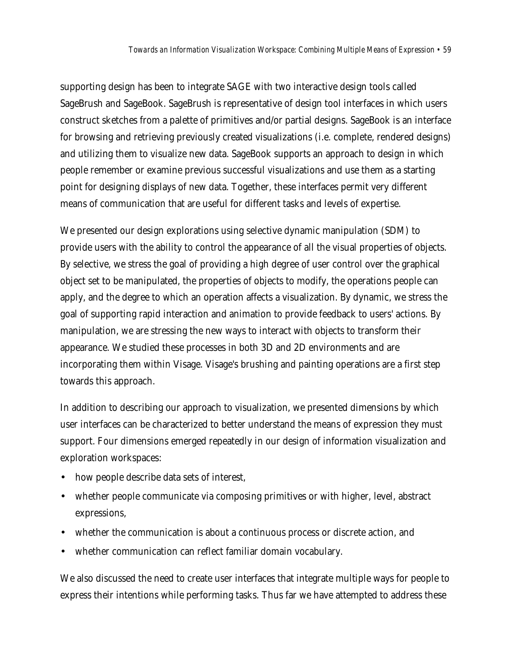supporting design has been to integrate SAGE with two interactive design tools called SageBrush and SageBook. SageBrush is representative of design tool interfaces in which users construct sketches from a palette of primitives and/or partial designs. SageBook is an interface for browsing and retrieving previously created visualizations (i.e. complete, rendered designs) and utilizing them to visualize new data. SageBook supports an approach to design in which people remember or examine previous successful visualizations and use them as a starting point for designing displays of new data. Together, these interfaces permit very different means of communication that are useful for different tasks and levels of expertise.

We presented our design explorations using selective dynamic manipulation (SDM) to provide users with the ability to control the appearance of all the visual properties of objects. By selective, we stress the goal of providing a high degree of user control over the graphical object set to be manipulated, the properties of objects to modify, the operations people can apply, and the degree to which an operation affects a visualization. By dynamic, we stress the goal of supporting rapid interaction and animation to provide feedback to users' actions. By manipulation, we are stressing the new ways to interact with objects to transform their appearance. We studied these processes in both 3D and 2D environments and are incorporating them within Visage. Visage's brushing and painting operations are a first step towards this approach.

In addition to describing our approach to visualization, we presented dimensions by which user interfaces can be characterized to better understand the means of expression they must support. Four dimensions emerged repeatedly in our design of information visualization and exploration workspaces:

- how people describe data sets of interest,
- whether people communicate via composing primitives or with higher, level, abstract expressions,
- whether the communication is about a continuous process or discrete action, and
- whether communication can reflect familiar domain vocabulary.

We also discussed the need to create user interfaces that integrate multiple ways for people to express their intentions while performing tasks. Thus far we have attempted to address these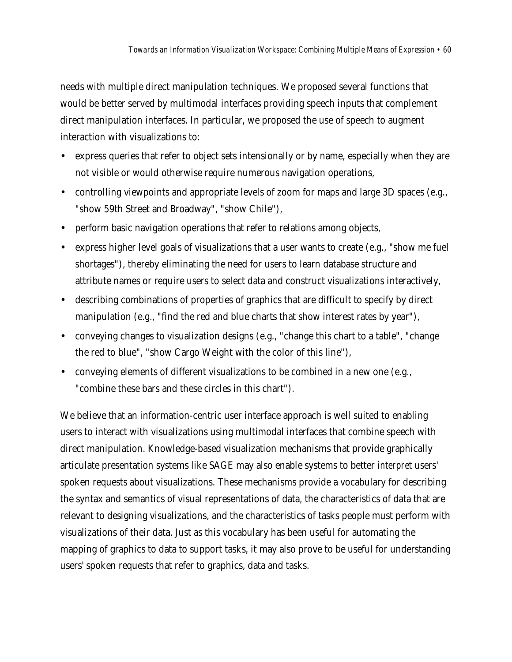needs with multiple direct manipulation techniques. We proposed several functions that would be better served by multimodal interfaces providing speech inputs that complement direct manipulation interfaces. In particular, we proposed the use of speech to augment interaction with visualizations to:

- express queries that refer to object sets intensionally or by name, especially when they are not visible or would otherwise require numerous navigation operations,
- controlling viewpoints and appropriate levels of zoom for maps and large 3D spaces (e.g., "show 59th Street and Broadway", "show Chile"),
- perform basic navigation operations that refer to relations among objects,
- express higher level goals of visualizations that a user wants to create (e.g., "show me fuel shortages"), thereby eliminating the need for users to learn database structure and attribute names or require users to select data and construct visualizations interactively,
- describing combinations of properties of graphics that are difficult to specify by direct manipulation (e.g., "find the red and blue charts that show interest rates by year"),
- conveying changes to visualization designs (e.g., "change this chart to a table", "change the red to blue", "show Cargo Weight with the color of this line"),
- conveying elements of different visualizations to be combined in a new one (e.g., "combine these bars and these circles in this chart").

We believe that an information-centric user interface approach is well suited to enabling users to interact with visualizations using multimodal interfaces that combine speech with direct manipulation. Knowledge-based visualization mechanisms that provide graphically articulate presentation systems like SAGE may also enable systems to better *interpret* users' spoken requests about visualizations. These mechanisms provide a vocabulary for describing the syntax and semantics of visual representations of data, the characteristics of data that are relevant to designing visualizations, and the characteristics of tasks people must perform with visualizations of their data. Just as this vocabulary has been useful for automating the mapping of graphics to data to support tasks, it may also prove to be useful for understanding users' spoken requests that refer to graphics, data and tasks.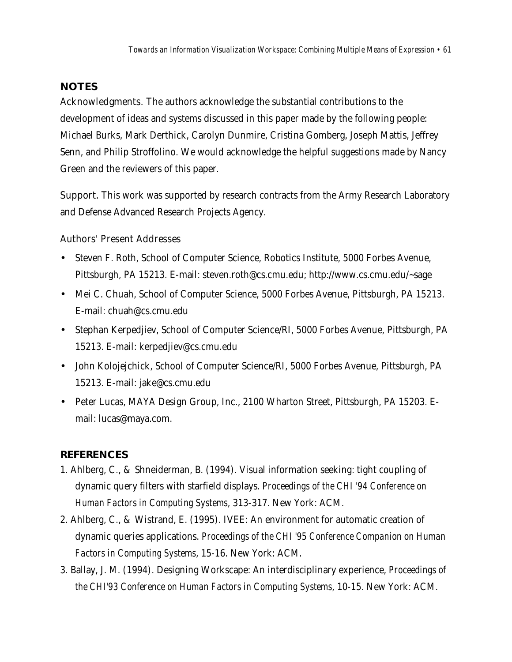# **NOTES**

Acknowledgments. The authors acknowledge the substantial contributions to the development of ideas and systems discussed in this paper made by the following people: Michael Burks, Mark Derthick, Carolyn Dunmire, Cristina Gomberg, Joseph Mattis, Jeffrey Senn, and Philip Stroffolino. We would acknowledge the helpful suggestions made by Nancy Green and the reviewers of this paper.

**Support.** This work was supported by research contracts from the Army Research Laboratory and Defense Advanced Research Projects Agency.

# Authors' Present Addresses

- Steven F. Roth, School of Computer Science, Robotics Institute, 5000 Forbes Avenue, Pittsburgh, PA 15213. E-mail: steven.roth@cs.cmu.edu; http://www.cs.cmu.edu/~sage
- Mei C. Chuah, School of Computer Science, 5000 Forbes Avenue, Pittsburgh, PA 15213. E-mail: chuah@cs.cmu.edu
- Stephan Kerpedjiev, School of Computer Science/RI, 5000 Forbes Avenue, Pittsburgh, PA 15213. E-mail: kerpedjiev@cs.cmu.edu
- John Kolojejchick, School of Computer Science/RI, 5000 Forbes Avenue, Pittsburgh, PA 15213. E-mail: jake@cs.cmu.edu
- Peter Lucas, MAYA Design Group, Inc., 2100 Wharton Street, Pittsburgh, PA 15203. Email: lucas@maya.com.

# **REFERENCES**

- 1. Ahlberg, C., & Shneiderman, B. (1994). Visual information seeking: tight coupling of dynamic query filters with starfield displays. *Proceedings of the CHI '94 Conference on Human Factors in Computing Systems*, 313-317. New York: ACM.
- 2. Ahlberg, C., & Wistrand, E. (1995). IVEE: An environment for automatic creation of dynamic queries applications. *Proceedings of the CHI '95 Conference Companion on Human Factors in Computing Systems*, 15-16. New York: ACM.
- 3. Ballay, J. M. (1994). Designing Workscape: An interdisciplinary experience, *Proceedings of the CHI'93 Conference on Human Factors in Computing Systems*, 10-15. New York: ACM.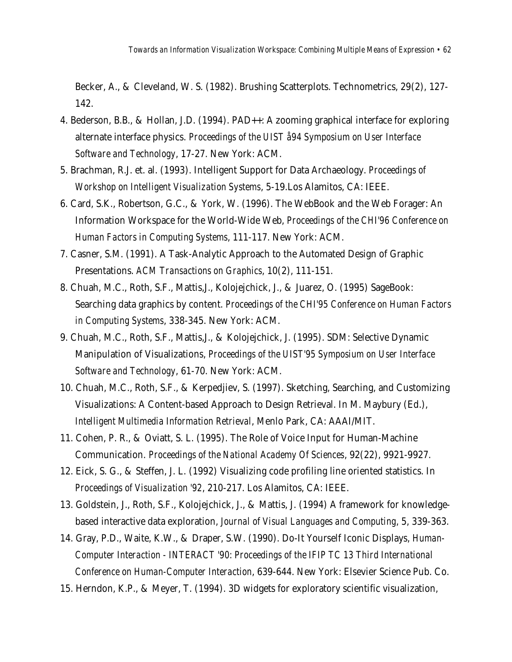Becker, A., & Cleveland, W. S. (1982). Brushing Scatterplots. Technometrics, 29(2), 127- 142.

- 4. Bederson, B.B., & Hollan, J.D. (1994). PAD++: A zooming graphical interface for exploring alternate interface physics. *Proceedings of the UIST å94 Symposium on User Interface Software and Technology*, 17-27. New York: ACM.
- 5. Brachman, R.J. et. al. (1993). Intelligent Support for Data Archaeology. *Proceedings of Workshop on Intelligent Visualization Systems*, 5-19.Los Alamitos, CA: IEEE.
- 6. Card, S.K., Robertson, G.C., & York, W. (1996). The WebBook and the Web Forager: An Information Workspace for the World-Wide Web, *Proceedings of the CHI'96 Conference on Human Factors in Computing Systems*, 111-117. New York: ACM.
- 7. Casner, S.M. (1991). A Task-Analytic Approach to the Automated Design of Graphic Presentations. *ACM Transactions on Graphics*, 10(2), 111-151.
- 8. Chuah, M.C., Roth, S.F., Mattis,J., Kolojejchick, J., & Juarez, O. (1995) SageBook: Searching data graphics by content. *Proceedings of the CHI'95 Conference on Human Factors in Computing Systems*, 338-345. New York: ACM.
- 9. Chuah, M.C., Roth, S.F., Mattis,J., & Kolojejchick, J. (1995). SDM: Selective Dynamic Manipulation of Visualizations, *Proceedings of the UIST'95 Symposium on User Interface Software and Technology*, 61-70. New York: ACM.
- 10. Chuah, M.C., Roth, S.F., & Kerpedjiev, S. (1997). Sketching, Searching, and Customizing Visualizations: A Content-based Approach to Design Retrieval. In M. Maybury (Ed.), *Intelligent Multimedia Information Retrieval*, Menlo Park, CA: AAAI/MIT.
- 11. Cohen, P. R., & Oviatt, S. L. (1995). The Role of Voice Input for Human-Machine Communication. *Proceedings of the National Academy Of Sciences*, 92(22), 9921-9927.
- 12. Eick, S. G., & Steffen, J. L. (1992) Visualizing code profiling line oriented statistics. In *Proceedings of Visualization '92*, 210-217. Los Alamitos, CA: IEEE.
- 13. Goldstein, J., Roth, S.F., Kolojejchick, J., & Mattis, J. (1994) A framework for knowledgebased interactive data exploration, *Journal of Visual Languages and Computing*, 5, 339-363.
- 14. Gray, P.D., Waite, K.W., & Draper, S.W. (1990). Do-It Yourself Iconic Displays, *Human-Computer Interaction - INTERACT '90: Proceedings of the IFIP TC 13 Third International Conference on Human-Computer Interaction*, 639-644. New York: Elsevier Science Pub. Co.
- 15. Herndon, K.P., & Meyer, T. (1994). 3D widgets for exploratory scientific visualization,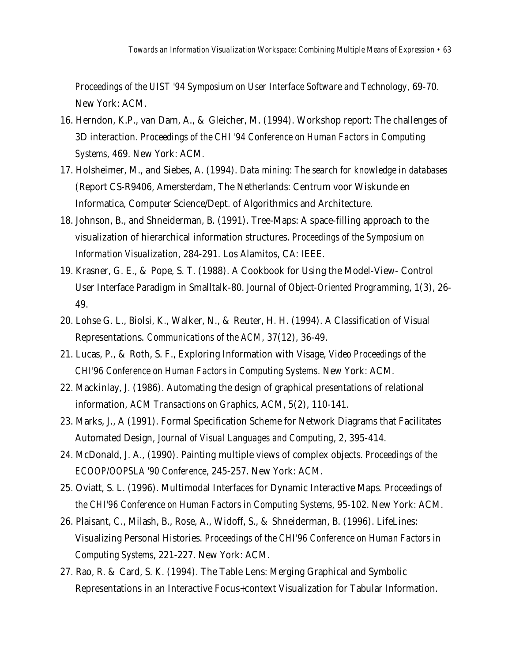*Proceedings of the UIST '94 Symposium on User Interface Software and Technology*, 69-70. New York: ACM.

- 16. Herndon, K.P., van Dam, A., & Gleicher, M. (1994). Workshop report: The challenges of 3D interaction. *Proceedings of the CHI '94 Conference on Human Factors in Computing Systems*, 469. New York: ACM.
- 17. Holsheimer, M., and Siebes, A. (1994). *Data mining: The search for knowledge in databases* (Report CS-R9406, Amersterdam, The Netherlands: Centrum voor Wiskunde en Informatica, Computer Science/Dept. of Algorithmics and Architecture.
- 18. Johnson, B., and Shneiderman, B. (1991). Tree-Maps: A space-filling approach to the visualization of hierarchical information structures. *Proceedings of the Symposium on Information Visualization*, 284-291. Los Alamitos, CA: IEEE.
- 19. Krasner, G. E., & Pope, S. T. (1988). A Cookbook for Using the Model-View- Control User Interface Paradigm in Smalltalk-80. *Journal of Object-Oriented Programming*, 1(3), 26- 49.
- 20. Lohse G. L., Biolsi, K., Walker, N., & Reuter, H. H. (1994). A Classification of Visual Representations. *Communications of the ACM*, 37(12), 36-49.
- 21. Lucas, P., & Roth, S. F., Exploring Information with Visage, *Video Proceedings of the CHI'96 Conference on Human Factors in Computing Systems*. New York: ACM.
- 22. Mackinlay, J. (1986). Automating the design of graphical presentations of relational information, *ACM Transactions on Graphics*, ACM, 5(2), 110-141.
- 23. Marks, J., A (1991). Formal Specification Scheme for Network Diagrams that Facilitates Automated Design, *Journal of Visual Languages and Computing*, 2, 395-414.
- 24. McDonald, J. A., (1990). Painting multiple views of complex objects. *Proceedings of the ECOOP/OOPSLA '90 Conference*, 245-257. New York: ACM.
- 25. Oviatt, S. L. (1996). Multimodal Interfaces for Dynamic Interactive Maps. *Proceedings of the CHI'96 Conference on Human Factors in Computing Systems*, 95-102. New York: ACM.
- 26. Plaisant, C., Milash, B., Rose, A., Widoff, S., & Shneiderman, B. (1996). LifeLines: Visualizing Personal Histories. *Proceedings of the CHI'96 Conference on Human Factors in Computing Systems*, 221-227. New York: ACM.
- 27. Rao, R. & Card, S. K. (1994). The Table Lens: Merging Graphical and Symbolic Representations in an Interactive Focus+context Visualization for Tabular Information.